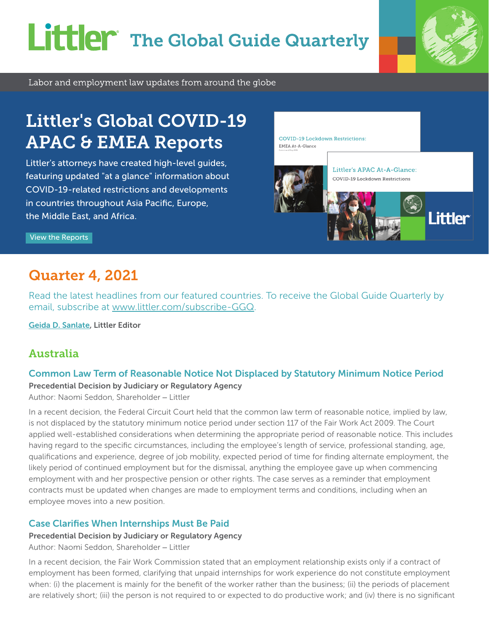# **Littler** The Global Guide Quarterly



Labor and employment law updates from around the globe

## Littler's Global COVID-19 APAC & EMEA Reports

Littler's attorneys have created high-level guides, featuring updated "at a glance" information about COVID-19-related restrictions and developments in countries throughout Asia Pacific, Europe, the Middle East, and Africa.

**COVID-19 Lockdown Restrictions** EMEA At-A-Glance



[View the Reports](https://www.littler.com/news-analysis?keyword=lockdown%20restrictions)

## Quarter 4, 2021

Read the latest headlines from our featured countries. To receive the Global Guide Quarterly by email, subscribe at [www.littler.com/subscribe-GGQ](https://engage.littler.com/11/5/forms/global-guide-quarterly.asp).

[Geida D. Sanlate](https://www.littler.com/people/geida-d-sanlate), Littler Editor

## Australia

#### Common Law Term of Reasonable Notice Not Displaced by Statutory Minimum Notice Period

Precedential Decision by Judiciary or Regulatory Agency

Author: Naomi Seddon, Shareholder – Littler

In a recent decision, the Federal Circuit Court held that the common law term of reasonable notice, implied by law, is not displaced by the statutory minimum notice period under section 117 of the Fair Work Act 2009. The Court applied well-established considerations when determining the appropriate period of reasonable notice. This includes having regard to the specific circumstances, including the employee's length of service, professional standing, age, qualifications and experience, degree of job mobility, expected period of time for finding alternate employment, the likely period of continued employment but for the dismissal, anything the employee gave up when commencing employment with and her prospective pension or other rights. The case serves as a reminder that employment contracts must be updated when changes are made to employment terms and conditions, including when an employee moves into a new position.

## Case Clarifies When Internships Must Be Paid

#### Precedential Decision by Judiciary or Regulatory Agency

Author: Naomi Seddon, Shareholder – Littler

In a recent decision, the Fair Work Commission stated that an employment relationship exists only if a contract of employment has been formed, clarifying that unpaid internships for work experience do not constitute employment when: (i) the placement is mainly for the benefit of the worker rather than the business; (ii) the periods of placement are relatively short; (iii) the person is not required to or expected to do productive work; and (iv) there is no significant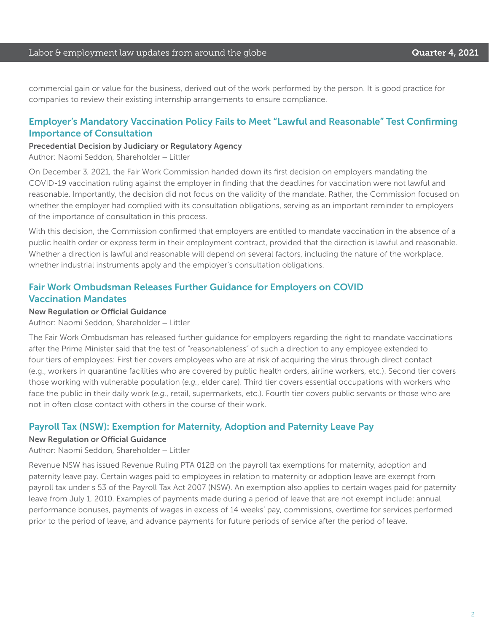commercial gain or value for the business, derived out of the work performed by the person. It is good practice for companies to review their existing internship arrangements to ensure compliance.

#### Employer's Mandatory Vaccination Policy Fails to Meet "Lawful and Reasonable" Test Confirming Importance of Consultation

Precedential Decision by Judiciary or Regulatory Agency

Author: Naomi Seddon, Shareholder – Littler

On December 3, 2021, the Fair Work Commission handed down its first decision on employers mandating the COVID-19 vaccination ruling against the employer in finding that the deadlines for vaccination were not lawful and reasonable. Importantly, the decision did not focus on the validity of the mandate. Rather, the Commission focused on whether the employer had complied with its consultation obligations, serving as an important reminder to employers of the importance of consultation in this process.

With this decision, the Commission confirmed that employers are entitled to mandate vaccination in the absence of a public health order or express term in their employment contract, provided that the direction is lawful and reasonable. Whether a direction is lawful and reasonable will depend on several factors, including the nature of the workplace, whether industrial instruments apply and the employer's consultation obligations.

## Fair Work Ombudsman Releases Further Guidance for Employers on COVID Vaccination Mandates

#### New Regulation or Official Guidance

Author: Naomi Seddon, Shareholder – Littler

The Fair Work Ombudsman has released further guidance for employers regarding the right to mandate vaccinations after the Prime Minister said that the test of "reasonableness" of such a direction to any employee extended to four tiers of employees: First tier covers employees who are at risk of acquiring the virus through direct contact (e.g., workers in quarantine facilities who are covered by public health orders, airline workers, etc.). Second tier covers those working with vulnerable population (*e.g.*, elder care). Third tier covers essential occupations with workers who face the public in their daily work (*e.g.*, retail, supermarkets, etc.). Fourth tier covers public servants or those who are not in often close contact with others in the course of their work.

#### Payroll Tax (NSW): Exemption for Maternity, Adoption and Paternity Leave Pay

#### New Regulation or Official Guidance

Author: Naomi Seddon, Shareholder – Littler

Revenue NSW has issued Revenue Ruling PTA 012B on the payroll tax exemptions for maternity, adoption and paternity leave pay. Certain wages paid to employees in relation to maternity or adoption leave are exempt from payroll tax under s 53 of the Payroll Tax Act 2007 (NSW). An exemption also applies to certain wages paid for paternity leave from July 1, 2010. Examples of payments made during a period of leave that are not exempt include: annual performance bonuses, payments of wages in excess of 14 weeks' pay, commissions, overtime for services performed prior to the period of leave, and advance payments for future periods of service after the period of leave.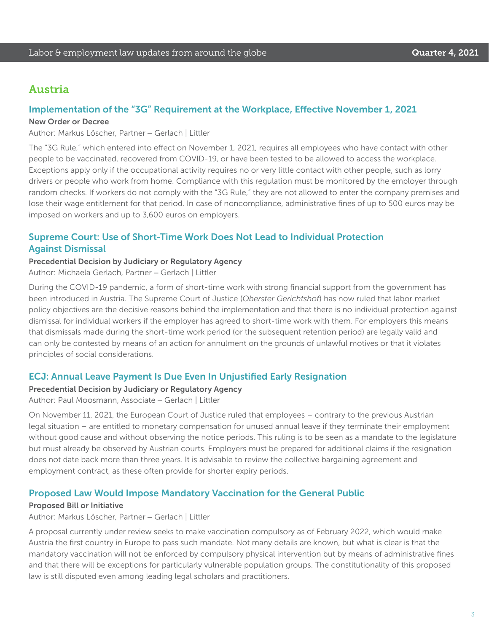## Austria

#### Implementation of the "3G" Requirement at the Workplace, Effective November 1, 2021

#### New Order or Decree

Author: Markus Löscher, Partner – Gerlach | Littler

The "3G Rule," which entered into effect on November 1, 2021, requires all employees who have contact with other people to be vaccinated, recovered from COVID-19, or have been tested to be allowed to access the workplace. Exceptions apply only if the occupational activity requires no or very little contact with other people, such as lorry drivers or people who work from home. Compliance with this regulation must be monitored by the employer through random checks. If workers do not comply with the "3G Rule," they are not allowed to enter the company premises and lose their wage entitlement for that period. In case of noncompliance, administrative fines of up to 500 euros may be imposed on workers and up to 3,600 euros on employers.

#### Supreme Court: Use of Short-Time Work Does Not Lead to Individual Protection Against Dismissal

Precedential Decision by Judiciary or Regulatory Agency

Author: Michaela Gerlach, Partner – Gerlach | Littler

During the COVID-19 pandemic, a form of short-time work with strong financial support from the government has been introduced in Austria. The Supreme Court of Justice (*Oberster Gerichtshof*) has now ruled that labor market policy objectives are the decisive reasons behind the implementation and that there is no individual protection against dismissal for individual workers if the employer has agreed to short-time work with them. For employers this means that dismissals made during the short-time work period (or the subsequent retention period) are legally valid and can only be contested by means of an action for annulment on the grounds of unlawful motives or that it violates principles of social considerations.

#### ECJ: Annual Leave Payment Is Due Even In Unjustified Early Resignation

#### Precedential Decision by Judiciary or Regulatory Agency

Author: Paul Moosmann, Associate – Gerlach | Littler

On November 11, 2021, the European Court of Justice ruled that employees – contrary to the previous Austrian legal situation – are entitled to monetary compensation for unused annual leave if they terminate their employment without good cause and without observing the notice periods. This ruling is to be seen as a mandate to the legislature but must already be observed by Austrian courts. Employers must be prepared for additional claims if the resignation does not date back more than three years. It is advisable to review the collective bargaining agreement and employment contract, as these often provide for shorter expiry periods.

#### Proposed Law Would Impose Mandatory Vaccination for the General Public

#### Proposed Bill or Initiative

Author: Markus Löscher, Partner – Gerlach | Littler

A proposal currently under review seeks to make vaccination compulsory as of February 2022, which would make Austria the first country in Europe to pass such mandate. Not many details are known, but what is clear is that the mandatory vaccination will not be enforced by compulsory physical intervention but by means of administrative fines and that there will be exceptions for particularly vulnerable population groups. The constitutionality of this proposed law is still disputed even among leading legal scholars and practitioners.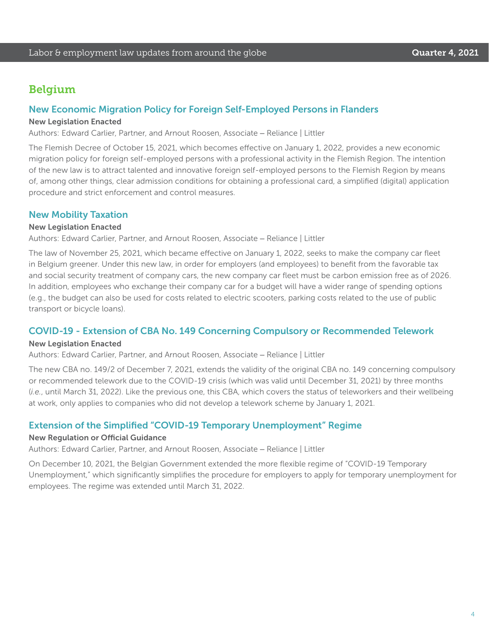## Belgium

#### New Economic Migration Policy for Foreign Self-Employed Persons in Flanders

#### New Legislation Enacted

Authors: Edward Carlier, Partner, and Arnout Roosen, Associate – Reliance | Littler

The Flemish Decree of October 15, 2021, which becomes effective on January 1, 2022, provides a new economic migration policy for foreign self-employed persons with a professional activity in the Flemish Region. The intention of the new law is to attract talented and innovative foreign self-employed persons to the Flemish Region by means of, among other things, clear admission conditions for obtaining a professional card, a simplified (digital) application procedure and strict enforcement and control measures.

#### New Mobility Taxation

#### New Legislation Enacted

Authors: Edward Carlier, Partner, and Arnout Roosen, Associate – Reliance | Littler

The law of November 25, 2021, which became effective on January 1, 2022, seeks to make the company car fleet in Belgium greener. Under this new law, in order for employers (and employees) to benefit from the favorable tax and social security treatment of company cars, the new company car fleet must be carbon emission free as of 2026. In addition, employees who exchange their company car for a budget will have a wider range of spending options (e.g., the budget can also be used for costs related to electric scooters, parking costs related to the use of public transport or bicycle loans).

#### COVID-19 - Extension of CBA No. 149 Concerning Compulsory or Recommended Telework

#### New Legislation Enacted

Authors: Edward Carlier, Partner, and Arnout Roosen, Associate – Reliance | Littler

The new CBA no. 149/2 of December 7, 2021, extends the validity of the original CBA no. 149 concerning compulsory or recommended telework due to the COVID-19 crisis (which was valid until December 31, 2021) by three months (*i.e.*, until March 31, 2022). Like the previous one, this CBA, which covers the status of teleworkers and their wellbeing at work, only applies to companies who did not develop a telework scheme by January 1, 2021.

#### Extension of the Simplified "COVID-19 Temporary Unemployment" Regime

#### New Regulation or Official Guidance

Authors: Edward Carlier, Partner, and Arnout Roosen, Associate – Reliance | Littler

On December 10, 2021, the Belgian Government extended the more flexible regime of "COVID-19 Temporary Unemployment," which significantly simplifies the procedure for employers to apply for temporary unemployment for employees. The regime was extended until March 31, 2022.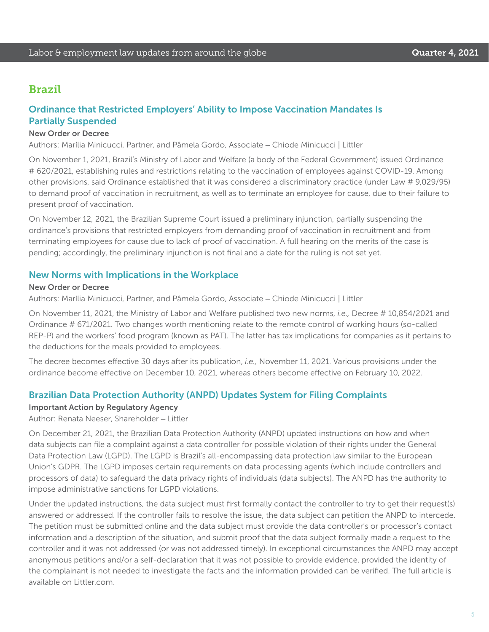## Brazil

## Ordinance that Restricted Employers' Ability to Impose Vaccination Mandates Is Partially Suspended

#### New Order or Decree

Authors: Marília Minicucci, Partner, and Pâmela Gordo, Associate – Chiode Minicucci | Littler

On November 1, 2021, Brazil's Ministry of Labor and Welfare (a body of the Federal Government) issued Ordinance # 620/2021, establishing rules and restrictions relating to the vaccination of employees against COVID-19. Among other provisions, said Ordinance established that it was considered a discriminatory practice (under Law # 9,029/95) to demand proof of vaccination in recruitment, as well as to terminate an employee for cause, due to their failure to present proof of vaccination.

On November 12, 2021, the Brazilian Supreme Court issued a preliminary injunction, partially suspending the ordinance's provisions that restricted employers from demanding proof of vaccination in recruitment and from terminating employees for cause due to lack of proof of vaccination. A full hearing on the merits of the case is pending; accordingly, the preliminary injunction is not final and a date for the ruling is not set yet.

#### New Norms with Implications in the Workplace

#### New Order or Decree

Authors: Marília Minicucci, Partner, and Pâmela Gordo, Associate – Chiode Minicucci | Littler

On November 11, 2021, the Ministry of Labor and Welfare published two new norms, *i.e.,* Decree # 10,854/2021 and Ordinance # 671/2021. Two changes worth mentioning relate to the remote control of working hours (so-called REP-P) and the workers' food program (known as PAT). The latter has tax implications for companies as it pertains to the deductions for the meals provided to employees.

The decree becomes effective 30 days after its publication, *i.e.,* November 11, 2021. Various provisions under the ordinance become effective on December 10, 2021, whereas others become effective on February 10, 2022.

#### Brazilian Data Protection Authority (ANPD) Updates System for Filing Complaints

#### Important Action by Regulatory Agency

Author: Renata Neeser, Shareholder – Littler

On December 21, 2021, the Brazilian Data Protection Authority (ANPD) updated instructions on how and when data subjects can file a complaint against a data controller for possible violation of their rights under the General Data Protection Law (LGPD). The LGPD is Brazil's all-encompassing data protection law similar to the European Union's GDPR. The LGPD imposes certain requirements on data processing agents (which include controllers and processors of data) to safeguard the data privacy rights of individuals (data subjects). The ANPD has the authority to impose administrative sanctions for LGPD violations.

Under the updated instructions, the data subject must first formally contact the controller to try to get their request(s) answered or addressed. If the controller fails to resolve the issue, the data subject can petition the ANPD to intercede. The petition must be submitted online and the data subject must provide the data controller's or processor's contact information and a description of the situation, and submit proof that the data subject formally made a request to the controller and it was not addressed (or was not addressed timely). In exceptional circumstances the ANPD may accept anonymous petitions and/or a self-declaration that it was not possible to provide evidence, provided the identity of the complainant is not needed to investigate the facts and the information provided can be verified. The full article is available on Littler com.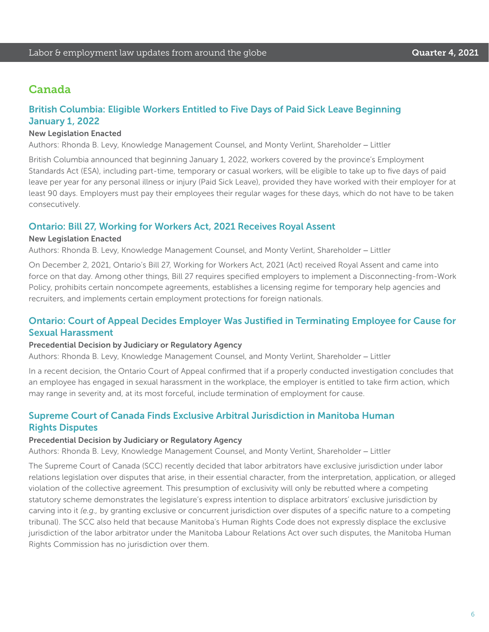## Canada

## British Columbia: Eligible Workers Entitled to Five Days of Paid Sick Leave Beginning January 1, 2022

#### New Legislation Enacted

Authors: Rhonda B. Levy, Knowledge Management Counsel, and Monty Verlint, Shareholder – Littler

British Columbia announced that beginning January 1, 2022, workers covered by the province's Employment Standards Act (ESA), including part-time, temporary or casual workers, will be eligible to take up to five days of paid leave per year for any personal illness or injury (Paid Sick Leave), provided they have worked with their employer for at least 90 days. Employers must pay their employees their regular wages for these days, which do not have to be taken consecutively.

#### Ontario: Bill 27, Working for Workers Act, 2021 Receives Royal Assent

#### New Legislation Enacted

Authors: Rhonda B. Levy, Knowledge Management Counsel, and Monty Verlint, Shareholder – Littler

On December 2, 2021, Ontario's Bill 27, Working for Workers Act, 2021 (Act) received Royal Assent and came into force on that day. Among other things, Bill 27 requires specified employers to implement a Disconnecting-from-Work Policy, prohibits certain noncompete agreements, establishes a licensing regime for temporary help agencies and recruiters, and implements certain employment protections for foreign nationals.

#### Ontario: Court of Appeal Decides Employer Was Justified in Terminating Employee for Cause for Sexual Harassment

#### Precedential Decision by Judiciary or Regulatory Agency

Authors: Rhonda B. Levy, Knowledge Management Counsel, and Monty Verlint, Shareholder – Littler

In a recent decision, the Ontario Court of Appeal confirmed that if a properly conducted investigation concludes that an employee has engaged in sexual harassment in the workplace, the employer is entitled to take firm action, which may range in severity and, at its most forceful, include termination of employment for cause.

#### Supreme Court of Canada Finds Exclusive Arbitral Jurisdiction in Manitoba Human Rights Disputes

#### Precedential Decision by Judiciary or Regulatory Agency

Authors: Rhonda B. Levy, Knowledge Management Counsel, and Monty Verlint, Shareholder – Littler

The Supreme Court of Canada (SCC) recently decided that labor arbitrators have exclusive jurisdiction under labor relations legislation over disputes that arise, in their essential character, from the interpretation, application, or alleged violation of the collective agreement. This presumption of exclusivity will only be rebutted where a competing statutory scheme demonstrates the legislature's express intention to displace arbitrators' exclusive jurisdiction by carving into it *(e.g.,* by granting exclusive or concurrent jurisdiction over disputes of a specific nature to a competing tribunal). The SCC also held that because Manitoba's Human Rights Code does not expressly displace the exclusive jurisdiction of the labor arbitrator under the Manitoba Labour Relations Act over such disputes, the Manitoba Human Rights Commission has no jurisdiction over them.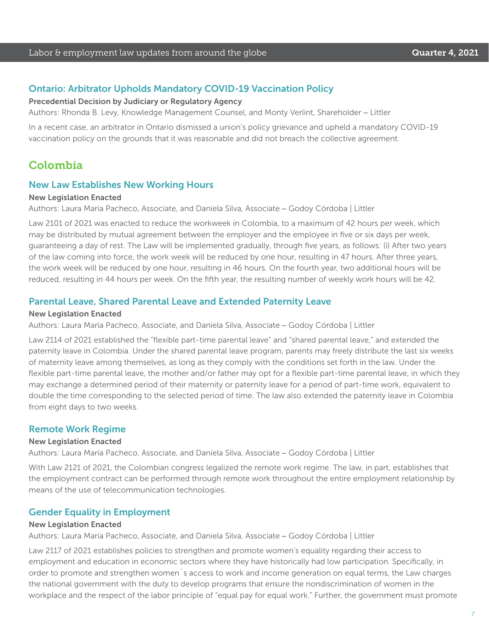#### Ontario: Arbitrator Upholds Mandatory COVID-19 Vaccination Policy

#### Precedential Decision by Judiciary or Regulatory Agency

Authors: Rhonda B. Levy, Knowledge Management Counsel, and Monty Verlint, Shareholder – Littler

In a recent case, an arbitrator in Ontario dismissed a union's policy grievance and upheld a mandatory COVID-19 vaccination policy on the grounds that it was reasonable and did not breach the collective agreement.

## Colombia

#### New Law Establishes New Working Hours

#### New Legislation Enacted

Authors: Laura María Pacheco, Associate, and Daniela Silva, Associate – Godoy Córdoba | Littler

Law 2101 of 2021 was enacted to reduce the workweek in Colombia, to a maximum of 42 hours per week, which may be distributed by mutual agreement between the employer and the employee in five or six days per week, guaranteeing a day of rest. The Law will be implemented gradually, through five years, as follows: (i) After two years of the law coming into force, the work week will be reduced by one hour, resulting in 47 hours. After three years, the work week will be reduced by one hour, resulting in 46 hours. On the fourth year, two additional hours will be reduced, resulting in 44 hours per week. On the fifth year, the resulting number of weekly work hours will be 42.

#### Parental Leave, Shared Parental Leave and Extended Paternity Leave

#### New Legislation Enacted

Authors: Laura María Pacheco, Associate, and Daniela Silva, Associate – Godoy Córdoba | Littler

Law 2114 of 2021 established the "flexible part-time parental leave" and "shared parental leave," and extended the paternity leave in Colombia. Under the shared parental leave program, parents may freely distribute the last six weeks of maternity leave among themselves, as long as they comply with the conditions set forth in the law. Under the flexible part-time parental leave, the mother and/or father may opt for a flexible part-time parental leave, in which they may exchange a determined period of their maternity or paternity leave for a period of part-time work, equivalent to double the time corresponding to the selected period of time. The law also extended the paternity leave in Colombia from eight days to two weeks.

#### Remote Work Regime

#### New Legislation Enacted

Authors: Laura María Pacheco, Associate, and Daniela Silva, Associate – Godoy Córdoba | Littler

With Law 2121 of 2021, the Colombian congress legalized the remote work regime. The law, in part, establishes that the employment contract can be performed through remote work throughout the entire employment relationship by means of the use of telecommunication technologies.

#### Gender Equality in Employment

#### New Legislation Enacted

Authors: Laura María Pacheco, Associate, and Daniela Silva, Associate – Godoy Córdoba | Littler

Law 2117 of 2021 establishes policies to strengthen and promote women's equality regarding their access to employment and education in economic sectors where they have historically had low participation. Specifically, in order to promote and strengthen women´s access to work and income generation on equal terms, the Law charges the national government with the duty to develop programs that ensure the nondiscrimination of women in the workplace and the respect of the labor principle of "equal pay for equal work." Further, the government must promote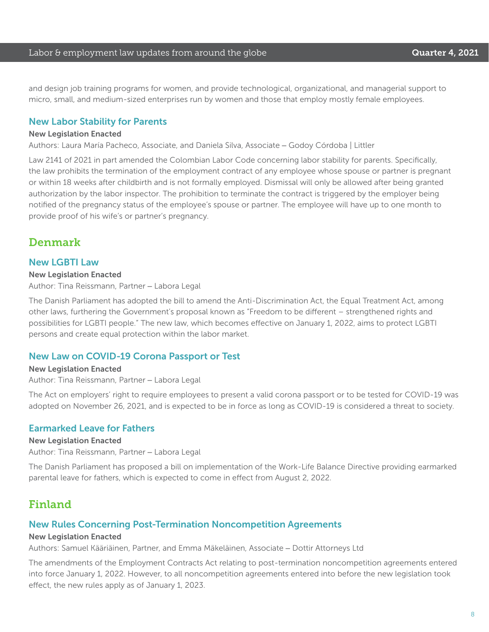and design job training programs for women, and provide technological, organizational, and managerial support to micro, small, and medium-sized enterprises run by women and those that employ mostly female employees.

#### New Labor Stability for Parents

#### New Legislation Enacted

Authors: Laura María Pacheco, Associate, and Daniela Silva, Associate – Godoy Córdoba | Littler

Law 2141 of 2021 in part amended the Colombian Labor Code concerning labor stability for parents. Specifically, the law prohibits the termination of the employment contract of any employee whose spouse or partner is pregnant or within 18 weeks after childbirth and is not formally employed. Dismissal will only be allowed after being granted authorization by the labor inspector. The prohibition to terminate the contract is triggered by the employer being notified of the pregnancy status of the employee's spouse or partner. The employee will have up to one month to provide proof of his wife's or partner's pregnancy.

## Denmark

#### New LGBTI Law

#### New Legislation Enacted

Author: Tina Reissmann, Partner – Labora Legal

The Danish Parliament has adopted the bill to amend the Anti-Discrimination Act, the Equal Treatment Act, among other laws, furthering the Government's proposal known as "Freedom to be different – strengthened rights and possibilities for LGBTI people." The new law, which becomes effective on January 1, 2022, aims to protect LGBTI persons and create equal protection within the labor market.

#### New Law on COVID-19 Corona Passport or Test

#### New Legislation Enacted

Author: Tina Reissmann, Partner – Labora Legal

The Act on employers' right to require employees to present a valid corona passport or to be tested for COVID-19 was adopted on November 26, 2021, and is expected to be in force as long as COVID-19 is considered a threat to society.

#### Earmarked Leave for Fathers

#### New Legislation Enacted

Author: Tina Reissmann, Partner – Labora Legal

The Danish Parliament has proposed a bill on implementation of the Work-Life Balance Directive providing earmarked parental leave for fathers, which is expected to come in effect from August 2, 2022.

## Finland

#### New Rules Concerning Post-Termination Noncompetition Agreements

#### New Legislation Enacted

Authors: Samuel Kääriäinen, Partner, and Emma Mäkeläinen, Associate – Dottir Attorneys Ltd

The amendments of the Employment Contracts Act relating to post-termination noncompetition agreements entered into force January 1, 2022. However, to all noncompetition agreements entered into before the new legislation took effect, the new rules apply as of January 1, 2023.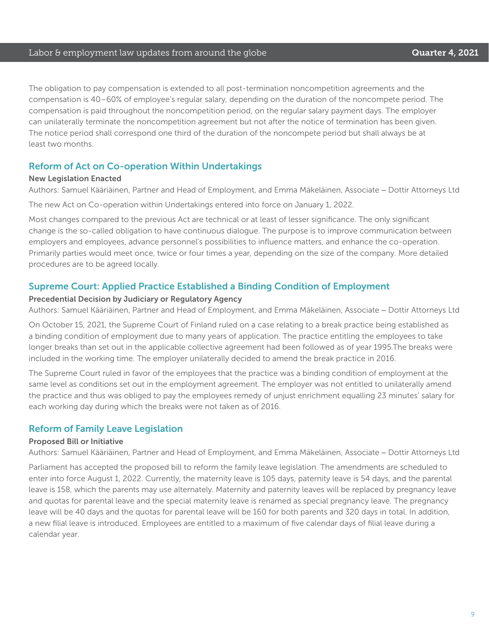#### Labor & employment law updates from around the globe **Cause Countries A. 2021**

The obligation to pay compensation is extended to all post-termination noncompetition agreements and the compensation is 40–60% of employee's regular salary, depending on the duration of the noncompete period. The compensation is paid throughout the noncompetition period, on the regular salary payment days. The employer can unilaterally terminate the noncompetition agreement but not after the notice of termination has been given. The notice period shall correspond one third of the duration of the noncompete period but shall always be at least two months.

#### Reform of Act on Co-operation Within Undertakings

#### New Legislation Enacted

Authors: Samuel Kääriäinen, Partner and Head of Employment, and Emma Mäkeläinen, Associate – Dottir Attorneys Ltd

The new Act on Co-operation within Undertakings entered into force on January 1, 2022.

Most changes compared to the previous Act are technical or at least of lesser significance. The only significant change is the so-called obligation to have continuous dialogue. The purpose is to improve communication between employers and employees, advance personnel's possibilities to influence matters, and enhance the co-operation. Primarily parties would meet once, twice or four times a year, depending on the size of the company. More detailed procedures are to be agreed locally.

#### Supreme Court: Applied Practice Established a Binding Condition of Employment

#### Precedential Decision by Judiciary or Regulatory Agency

Authors: Samuel Kääriäinen, Partner and Head of Employment, and Emma Mäkeläinen, Associate – Dottir Attorneys Ltd

On October 15, 2021, the Supreme Court of Finland ruled on a case relating to a break practice being established as a binding condition of employment due to many years of application. The practice entitling the employees to take longer breaks than set out in the applicable collective agreement had been followed as of year 1995.The breaks were included in the working time. The employer unilaterally decided to amend the break practice in 2016.

The Supreme Court ruled in favor of the employees that the practice was a binding condition of employment at the same level as conditions set out in the employment agreement. The employer was not entitled to unilaterally amend the practice and thus was obliged to pay the employees remedy of unjust enrichment equalling 23 minutes' salary for each working day during which the breaks were not taken as of 2016.

#### Reform of Family Leave Legislation

#### Proposed Bill or Initiative

Authors: Samuel Kääriäinen, Partner and Head of Employment, and Emma Mäkeläinen, Associate – Dottir Attorneys Ltd

Parliament has accepted the proposed bill to reform the family leave legislation. The amendments are scheduled to enter into force August 1, 2022. Currently, the maternity leave is 105 days, paternity leave is 54 days, and the parental leave is 158, which the parents may use alternately. Maternity and paternity leaves will be replaced by pregnancy leave and quotas for parental leave and the special maternity leave is renamed as special pregnancy leave. The pregnancy leave will be 40 days and the quotas for parental leave will be 160 for both parents and 320 days in total. In addition, a new filial leave is introduced. Employees are entitled to a maximum of five calendar days of filial leave during a calendar year.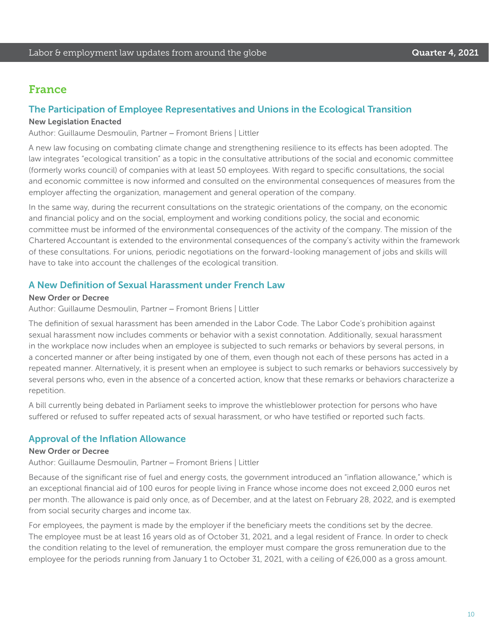## France

#### The Participation of Employee Representatives and Unions in the Ecological Transition

#### New Legislation Enacted

Author: Guillaume Desmoulin, Partner – Fromont Briens | Littler

A new law focusing on combating climate change and strengthening resilience to its effects has been adopted. The law integrates "ecological transition" as a topic in the consultative attributions of the social and economic committee (formerly works council) of companies with at least 50 employees. With regard to specific consultations, the social and economic committee is now informed and consulted on the environmental consequences of measures from the employer affecting the organization, management and general operation of the company.

In the same way, during the recurrent consultations on the strategic orientations of the company, on the economic and financial policy and on the social, employment and working conditions policy, the social and economic committee must be informed of the environmental consequences of the activity of the company. The mission of the Chartered Accountant is extended to the environmental consequences of the company's activity within the framework of these consultations. For unions, periodic negotiations on the forward-looking management of jobs and skills will have to take into account the challenges of the ecological transition.

#### A New Definition of Sexual Harassment under French Law

#### New Order or Decree

Author: Guillaume Desmoulin, Partner – Fromont Briens | Littler

The definition of sexual harassment has been amended in the Labor Code. The Labor Code's prohibition against sexual harassment now includes comments or behavior with a sexist connotation. Additionally, sexual harassment in the workplace now includes when an employee is subjected to such remarks or behaviors by several persons, in a concerted manner or after being instigated by one of them, even though not each of these persons has acted in a repeated manner. Alternatively, it is present when an employee is subject to such remarks or behaviors successively by several persons who, even in the absence of a concerted action, know that these remarks or behaviors characterize a repetition.

A bill currently being debated in Parliament seeks to improve the whistleblower protection for persons who have suffered or refused to suffer repeated acts of sexual harassment, or who have testified or reported such facts.

#### Approval of the Inflation Allowance

#### New Order or Decree

Author: Guillaume Desmoulin, Partner – Fromont Briens | Littler

Because of the significant rise of fuel and energy costs, the government introduced an "inflation allowance," which is an exceptional financial aid of 100 euros for people living in France whose income does not exceed 2,000 euros net per month. The allowance is paid only once, as of December, and at the latest on February 28, 2022, and is exempted from social security charges and income tax.

For employees, the payment is made by the employer if the beneficiary meets the conditions set by the decree. The employee must be at least 16 years old as of October 31, 2021, and a legal resident of France. In order to check the condition relating to the level of remuneration, the employer must compare the gross remuneration due to the employee for the periods running from January 1 to October 31, 2021, with a ceiling of €26,000 as a gross amount.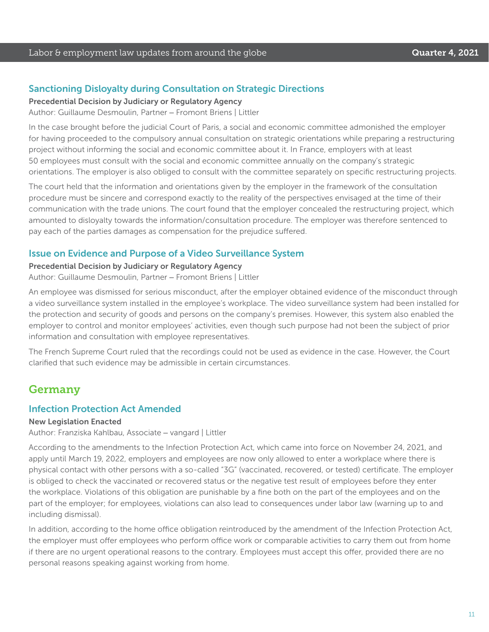#### Sanctioning Disloyalty during Consultation on Strategic Directions

Precedential Decision by Judiciary or Regulatory Agency

Author: Guillaume Desmoulin, Partner – Fromont Briens | Littler

In the case brought before the judicial Court of Paris, a social and economic committee admonished the employer for having proceeded to the compulsory annual consultation on strategic orientations while preparing a restructuring project without informing the social and economic committee about it. In France, employers with at least 50 employees must consult with the social and economic committee annually on the company's strategic orientations. The employer is also obliged to consult with the committee separately on specific restructuring projects.

The court held that the information and orientations given by the employer in the framework of the consultation procedure must be sincere and correspond exactly to the reality of the perspectives envisaged at the time of their communication with the trade unions. The court found that the employer concealed the restructuring project, which amounted to disloyalty towards the information/consultation procedure. The employer was therefore sentenced to pay each of the parties damages as compensation for the prejudice suffered.

#### Issue on Evidence and Purpose of a Video Surveillance System

#### Precedential Decision by Judiciary or Regulatory Agency

Author: Guillaume Desmoulin, Partner – Fromont Briens | Littler

An employee was dismissed for serious misconduct, after the employer obtained evidence of the misconduct through a video surveillance system installed in the employee's workplace. The video surveillance system had been installed for the protection and security of goods and persons on the company's premises. However, this system also enabled the employer to control and monitor employees' activities, even though such purpose had not been the subject of prior information and consultation with employee representatives.

The French Supreme Court ruled that the recordings could not be used as evidence in the case. However, the Court clarified that such evidence may be admissible in certain circumstances.

## Germany

#### Infection Protection Act Amended

#### New Legislation Enacted

Author: Franziska Kahlbau, Associate – vangard | Littler

According to the amendments to the Infection Protection Act, which came into force on November 24, 2021, and apply until March 19, 2022, employers and employees are now only allowed to enter a workplace where there is physical contact with other persons with a so-called "3G" (vaccinated, recovered, or tested) certificate. The employer is obliged to check the vaccinated or recovered status or the negative test result of employees before they enter the workplace. Violations of this obligation are punishable by a fine both on the part of the employees and on the part of the employer; for employees, violations can also lead to consequences under labor law (warning up to and including dismissal).

In addition, according to the home office obligation reintroduced by the amendment of the Infection Protection Act, the employer must offer employees who perform office work or comparable activities to carry them out from home if there are no urgent operational reasons to the contrary. Employees must accept this offer, provided there are no personal reasons speaking against working from home.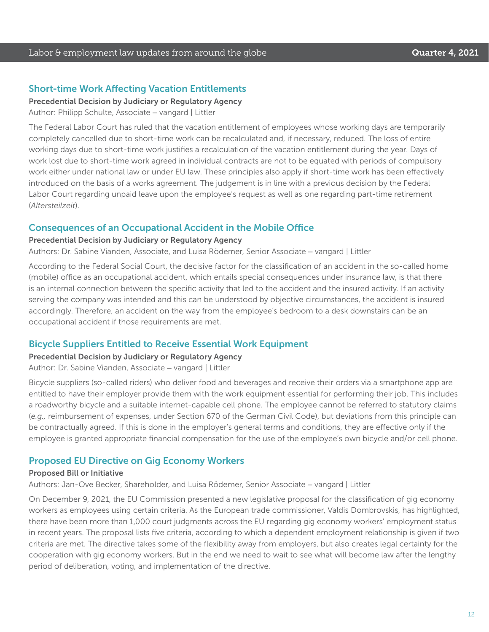#### Short-time Work Affecting Vacation Entitlements

Precedential Decision by Judiciary or Regulatory Agency

Author: Philipp Schulte, Associate – vangard | Littler

The Federal Labor Court has ruled that the vacation entitlement of employees whose working days are temporarily completely cancelled due to short-time work can be recalculated and, if necessary, reduced. The loss of entire working days due to short-time work justifies a recalculation of the vacation entitlement during the year. Days of work lost due to short-time work agreed in individual contracts are not to be equated with periods of compulsory work either under national law or under EU law. These principles also apply if short-time work has been effectively introduced on the basis of a works agreement. The judgement is in line with a previous decision by the Federal Labor Court regarding unpaid leave upon the employee's request as well as one regarding part-time retirement (*Altersteilzeit*).

#### Consequences of an Occupational Accident in the Mobile Office

#### Precedential Decision by Judiciary or Regulatory Agency

Authors: Dr. Sabine Vianden, Associate, and Luisa Rödemer, Senior Associate – vangard | Littler

According to the Federal Social Court, the decisive factor for the classification of an accident in the so-called home (mobile) office as an occupational accident, which entails special consequences under insurance law, is that there is an internal connection between the specific activity that led to the accident and the insured activity. If an activity serving the company was intended and this can be understood by objective circumstances, the accident is insured accordingly. Therefore, an accident on the way from the employee's bedroom to a desk downstairs can be an occupational accident if those requirements are met.

#### Bicycle Suppliers Entitled to Receive Essential Work Equipment

#### Precedential Decision by Judiciary or Regulatory Agency

Author: Dr. Sabine Vianden, Associate – vangard | Littler

Bicycle suppliers (so-called riders) who deliver food and beverages and receive their orders via a smartphone app are entitled to have their employer provide them with the work equipment essential for performing their job. This includes a roadworthy bicycle and a suitable internet-capable cell phone. The employee cannot be referred to statutory claims (*e.g.,* reimbursement of expenses, under Section 670 of the German Civil Code), but deviations from this principle can be contractually agreed. If this is done in the employer's general terms and conditions, they are effective only if the employee is granted appropriate financial compensation for the use of the employee's own bicycle and/or cell phone.

#### Proposed EU Directive on Gig Economy Workers

#### Proposed Bill or Initiative

Authors: Jan-Ove Becker, Shareholder, and Luisa Rödemer, Senior Associate – vangard | Littler

On December 9, 2021, the EU Commission presented a new legislative proposal for the classification of gig economy workers as employees using certain criteria. As the European trade commissioner, Valdis Dombrovskis, has highlighted, there have been more than 1,000 court judgments across the EU regarding gig economy workers' employment status in recent years. The proposal lists five criteria, according to which a dependent employment relationship is given if two criteria are met. The directive takes some of the flexibility away from employers, but also creates legal certainty for the cooperation with gig economy workers. But in the end we need to wait to see what will become law after the lengthy period of deliberation, voting, and implementation of the directive.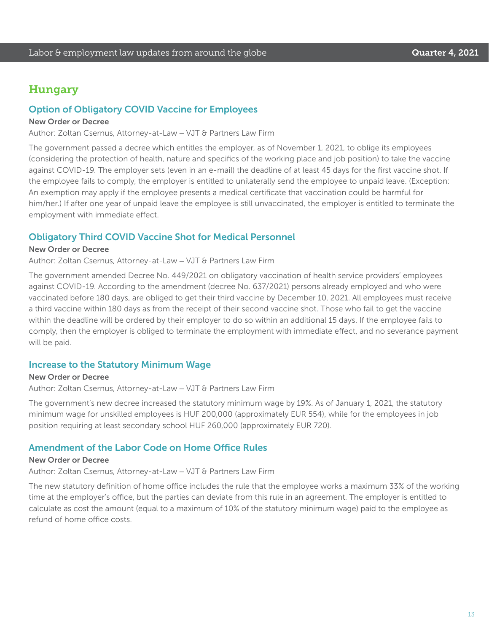## Hungary

#### Option of Obligatory COVID Vaccine for Employees

#### New Order or Decree

Author: Zoltan Csernus, Attorney-at-Law – VJT & Partners Law Firm

The government passed a decree which entitles the employer, as of November 1, 2021, to oblige its employees (considering the protection of health, nature and specifics of the working place and job position) to take the vaccine against COVID-19. The employer sets (even in an e-mail) the deadline of at least 45 days for the first vaccine shot. If the employee fails to comply, the employer is entitled to unilaterally send the employee to unpaid leave. (Exception: An exemption may apply if the employee presents a medical certificate that vaccination could be harmful for him/her.) If after one year of unpaid leave the employee is still unvaccinated, the employer is entitled to terminate the employment with immediate effect.

#### Obligatory Third COVID Vaccine Shot for Medical Personnel

#### New Order or Decree

Author: Zoltan Csernus, Attorney-at-Law – VJT & Partners Law Firm

The government amended Decree No. 449/2021 on obligatory vaccination of health service providers' employees against COVID-19. According to the amendment (decree No. 637/2021) persons already employed and who were vaccinated before 180 days, are obliged to get their third vaccine by December 10, 2021. All employees must receive a third vaccine within 180 days as from the receipt of their second vaccine shot. Those who fail to get the vaccine within the deadline will be ordered by their employer to do so within an additional 15 days. If the employee fails to comply, then the employer is obliged to terminate the employment with immediate effect, and no severance payment will be paid.

#### Increase to the Statutory Minimum Wage

New Order or Decree Author: Zoltan Csernus, Attorney-at-Law – VJT & Partners Law Firm

The government's new decree increased the statutory minimum wage by 19%. As of January 1, 2021, the statutory minimum wage for unskilled employees is HUF 200,000 (approximately EUR 554), while for the employees in job position requiring at least secondary school HUF 260,000 (approximately EUR 720).

#### Amendment of the Labor Code on Home Office Rules

#### New Order or Decree

Author: Zoltan Csernus, Attorney-at-Law – VJT & Partners Law Firm

The new statutory definition of home office includes the rule that the employee works a maximum 33% of the working time at the employer's office, but the parties can deviate from this rule in an agreement. The employer is entitled to calculate as cost the amount (equal to a maximum of 10% of the statutory minimum wage) paid to the employee as refund of home office costs.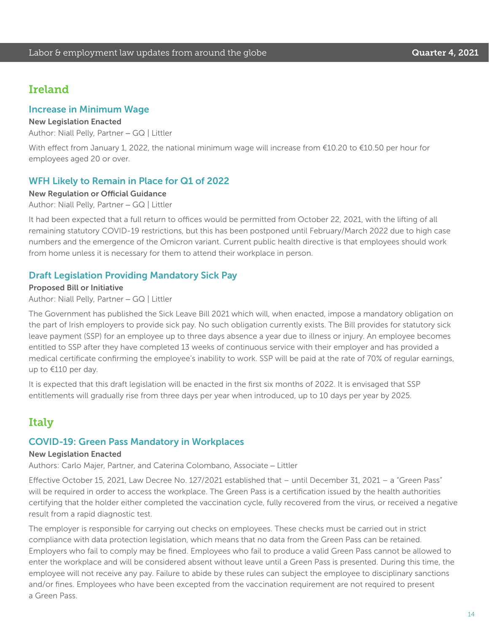## Ireland

#### Increase in Minimum Wage

#### New Legislation Enacted

Author: Niall Pelly, Partner – GQ | Littler

With effect from January 1, 2022, the national minimum wage will increase from €10.20 to €10.50 per hour for employees aged 20 or over.

#### WFH Likely to Remain in Place for Q1 of 2022

#### New Regulation or Official Guidance

Author: Niall Pelly, Partner – GQ | Littler

It had been expected that a full return to offices would be permitted from October 22, 2021, with the lifting of all remaining statutory COVID-19 restrictions, but this has been postponed until February/March 2022 due to high case numbers and the emergence of the Omicron variant. Current public health directive is that employees should work from home unless it is necessary for them to attend their workplace in person.

#### Draft Legislation Providing Mandatory Sick Pay

Proposed Bill or Initiative Author: Niall Pelly, Partner – GQ | Littler

The Government has published the Sick Leave Bill 2021 which will, when enacted, impose a mandatory obligation on the part of Irish employers to provide sick pay. No such obligation currently exists. The Bill provides for statutory sick leave payment (SSP) for an employee up to three days absence a year due to illness or injury. An employee becomes entitled to SSP after they have completed 13 weeks of continuous service with their employer and has provided a medical certificate confirming the employee's inability to work. SSP will be paid at the rate of 70% of regular earnings, up to €110 per day.

It is expected that this draft legislation will be enacted in the first six months of 2022. It is envisaged that SSP entitlements will gradually rise from three days per year when introduced, up to 10 days per year by 2025.

## Italy

#### COVID-19: Green Pass Mandatory in Workplaces

#### New Legislation Enacted

Authors: Carlo Majer, Partner, and Caterina Colombano, Associate – Littler

Effective October 15, 2021, Law Decree No. 127/2021 established that – until December 31, 2021 – a "Green Pass" will be required in order to access the workplace. The Green Pass is a certification issued by the health authorities certifying that the holder either completed the vaccination cycle, fully recovered from the virus, or received a negative result from a rapid diagnostic test.

The employer is responsible for carrying out checks on employees. These checks must be carried out in strict compliance with data protection legislation, which means that no data from the Green Pass can be retained. Employers who fail to comply may be fined. Employees who fail to produce a valid Green Pass cannot be allowed to enter the workplace and will be considered absent without leave until a Green Pass is presented. During this time, the employee will not receive any pay. Failure to abide by these rules can subject the employee to disciplinary sanctions and/or fines. Employees who have been excepted from the vaccination requirement are not required to present a Green Pass.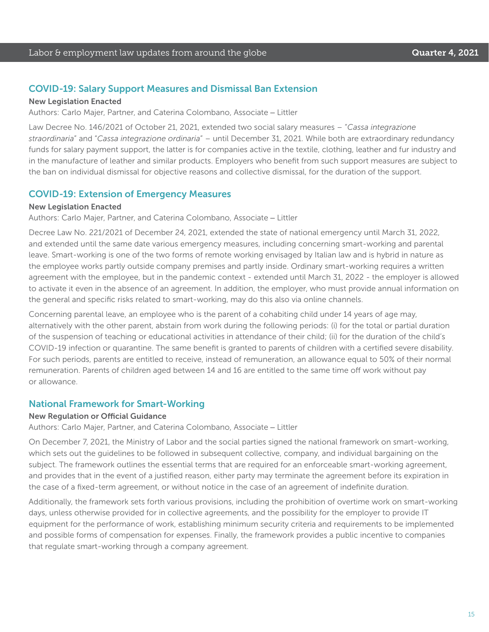#### COVID-19: Salary Support Measures and Dismissal Ban Extension

#### New Legislation Enacted

Authors: Carlo Majer, Partner, and Caterina Colombano, Associate – Littler

Law Decree No. 146/2021 of October 21, 2021, extended two social salary measures – "*Cassa integrazione straordinaria*" and "*Cassa integrazione ordinaria*" – until December 31, 2021. While both are extraordinary redundancy funds for salary payment support, the latter is for companies active in the textile, clothing, leather and fur industry and in the manufacture of leather and similar products. Employers who benefit from such support measures are subject to the ban on individual dismissal for objective reasons and collective dismissal, for the duration of the support.

#### COVID-19: Extension of Emergency Measures

#### New Legislation Enacted

Authors: Carlo Majer, Partner, and Caterina Colombano, Associate – Littler

Decree Law No. 221/2021 of December 24, 2021, extended the state of national emergency until March 31, 2022, and extended until the same date various emergency measures, including concerning smart-working and parental leave. Smart-working is one of the two forms of remote working envisaged by Italian law and is hybrid in nature as the employee works partly outside company premises and partly inside. Ordinary smart-working requires a written agreement with the employee, but in the pandemic context - extended until March 31, 2022 - the employer is allowed to activate it even in the absence of an agreement. In addition, the employer, who must provide annual information on the general and specific risks related to smart-working, may do this also via online channels.

Concerning parental leave, an employee who is the parent of a cohabiting child under 14 years of age may, alternatively with the other parent, abstain from work during the following periods: (i) for the total or partial duration of the suspension of teaching or educational activities in attendance of their child; (ii) for the duration of the child's COVID-19 infection or quarantine. The same benefit is granted to parents of children with a certified severe disability. For such periods, parents are entitled to receive, instead of remuneration, an allowance equal to 50% of their normal remuneration. Parents of children aged between 14 and 16 are entitled to the same time off work without pay or allowance.

#### National Framework for Smart-Working

#### New Regulation or Official Guidance

Authors: Carlo Majer, Partner, and Caterina Colombano, Associate – Littler

On December 7, 2021, the Ministry of Labor and the social parties signed the national framework on smart-working, which sets out the guidelines to be followed in subsequent collective, company, and individual bargaining on the subject. The framework outlines the essential terms that are required for an enforceable smart-working agreement, and provides that in the event of a justified reason, either party may terminate the agreement before its expiration in the case of a fixed-term agreement, or without notice in the case of an agreement of indefinite duration.

Additionally, the framework sets forth various provisions, including the prohibition of overtime work on smart-working days, unless otherwise provided for in collective agreements, and the possibility for the employer to provide IT equipment for the performance of work, establishing minimum security criteria and requirements to be implemented and possible forms of compensation for expenses. Finally, the framework provides a public incentive to companies that regulate smart-working through a company agreement.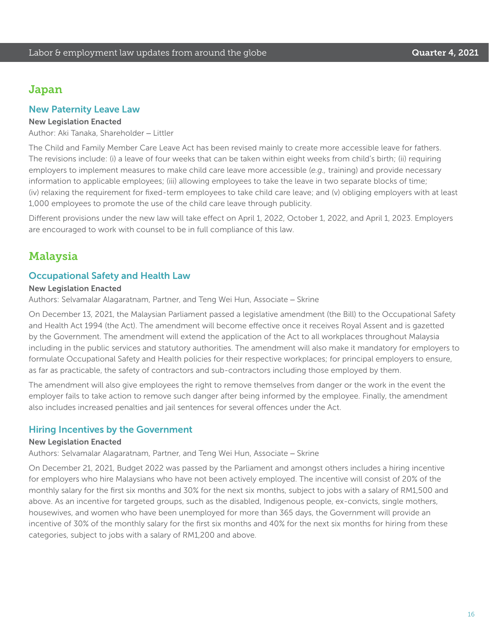## Japan

#### New Paternity Leave Law

#### New Legislation Enacted

Author: Aki Tanaka, Shareholder – Littler

The Child and Family Member Care Leave Act has been revised mainly to create more accessible leave for fathers. The revisions include: (i) a leave of four weeks that can be taken within eight weeks from child's birth; (ii) requiring employers to implement measures to make child care leave more accessible (*e.g.,* training) and provide necessary information to applicable employees; (iii) allowing employees to take the leave in two separate blocks of time; (iv) relaxing the requirement for fixed-term employees to take child care leave; and (v) obliging employers with at least 1,000 employees to promote the use of the child care leave through publicity.

Different provisions under the new law will take effect on April 1, 2022, October 1, 2022, and April 1, 2023. Employers are encouraged to work with counsel to be in full compliance of this law.

## **Malaysia**

#### Occupational Safety and Health Law

#### New Legislation Enacted

Authors: Selvamalar Alagaratnam, Partner, and Teng Wei Hun, Associate – Skrine

On December 13, 2021, the Malaysian Parliament passed a legislative amendment (the Bill) to the Occupational Safety and Health Act 1994 (the Act). The amendment will become effective once it receives Royal Assent and is gazetted by the Government. The amendment will extend the application of the Act to all workplaces throughout Malaysia including in the public services and statutory authorities. The amendment will also make it mandatory for employers to formulate Occupational Safety and Health policies for their respective workplaces; for principal employers to ensure, as far as practicable, the safety of contractors and sub-contractors including those employed by them.

The amendment will also give employees the right to remove themselves from danger or the work in the event the employer fails to take action to remove such danger after being informed by the employee. Finally, the amendment also includes increased penalties and jail sentences for several offences under the Act.

#### Hiring Incentives by the Government

#### New Legislation Enacted

Authors: Selvamalar Alagaratnam, Partner, and Teng Wei Hun, Associate – Skrine

On December 21, 2021, Budget 2022 was passed by the Parliament and amongst others includes a hiring incentive for employers who hire Malaysians who have not been actively employed. The incentive will consist of 20% of the monthly salary for the first six months and 30% for the next six months, subject to jobs with a salary of RM1,500 and above. As an incentive for targeted groups, such as the disabled, Indigenous people, ex-convicts, single mothers, housewives, and women who have been unemployed for more than 365 days, the Government will provide an incentive of 30% of the monthly salary for the first six months and 40% for the next six months for hiring from these categories, subject to jobs with a salary of RM1,200 and above.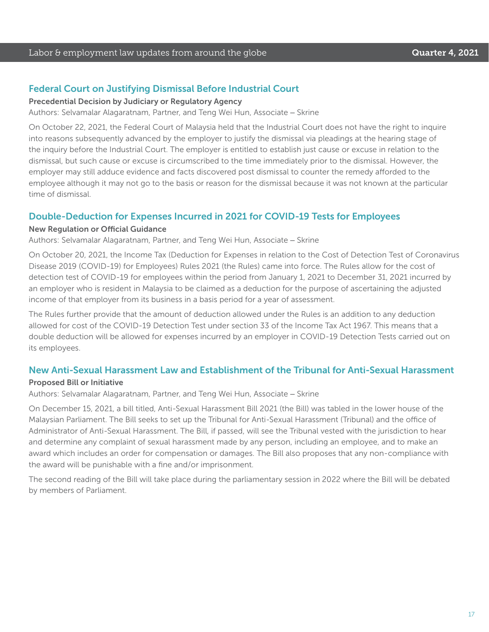#### Federal Court on Justifying Dismissal Before Industrial Court

Precedential Decision by Judiciary or Regulatory Agency

Authors: Selvamalar Alagaratnam, Partner, and Teng Wei Hun, Associate – Skrine

On October 22, 2021, the Federal Court of Malaysia held that the Industrial Court does not have the right to inquire into reasons subsequently advanced by the employer to justify the dismissal via pleadings at the hearing stage of the inquiry before the Industrial Court. The employer is entitled to establish just cause or excuse in relation to the dismissal, but such cause or excuse is circumscribed to the time immediately prior to the dismissal. However, the employer may still adduce evidence and facts discovered post dismissal to counter the remedy afforded to the employee although it may not go to the basis or reason for the dismissal because it was not known at the particular time of dismissal.

#### Double-Deduction for Expenses Incurred in 2021 for COVID-19 Tests for Employees

#### New Regulation or Official Guidance

Authors: Selvamalar Alagaratnam, Partner, and Teng Wei Hun, Associate – Skrine

On October 20, 2021, the Income Tax (Deduction for Expenses in relation to the Cost of Detection Test of Coronavirus Disease 2019 (COVID-19) for Employees) Rules 2021 (the Rules) came into force. The Rules allow for the cost of detection test of COVID-19 for employees within the period from January 1, 2021 to December 31, 2021 incurred by an employer who is resident in Malaysia to be claimed as a deduction for the purpose of ascertaining the adjusted income of that employer from its business in a basis period for a year of assessment.

The Rules further provide that the amount of deduction allowed under the Rules is an addition to any deduction allowed for cost of the COVID-19 Detection Test under section 33 of the Income Tax Act 1967. This means that a double deduction will be allowed for expenses incurred by an employer in COVID-19 Detection Tests carried out on its employees.

#### New Anti-Sexual Harassment Law and Establishment of the Tribunal for Anti-Sexual Harassment

#### Proposed Bill or Initiative

Authors: Selvamalar Alagaratnam, Partner, and Teng Wei Hun, Associate – Skrine

On December 15, 2021, a bill titled, Anti-Sexual Harassment Bill 2021 (the Bill) was tabled in the lower house of the Malaysian Parliament. The Bill seeks to set up the Tribunal for Anti-Sexual Harassment (Tribunal) and the office of Administrator of Anti-Sexual Harassment. The Bill, if passed, will see the Tribunal vested with the jurisdiction to hear and determine any complaint of sexual harassment made by any person, including an employee, and to make an award which includes an order for compensation or damages. The Bill also proposes that any non-compliance with the award will be punishable with a fine and/or imprisonment.

The second reading of the Bill will take place during the parliamentary session in 2022 where the Bill will be debated by members of Parliament.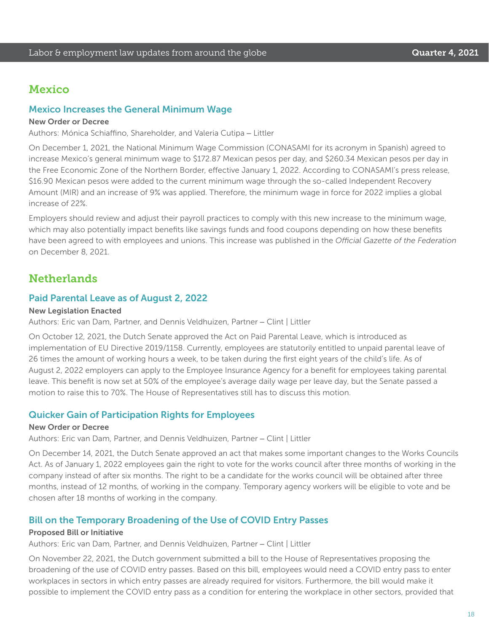## Mexico

## Mexico Increases the General Minimum Wage

#### New Order or Decree

Authors: Mónica Schiaffino, Shareholder, and Valeria Cutipa – Littler

On December 1, 2021, the National Minimum Wage Commission (CONASAMI for its acronym in Spanish) agreed to increase Mexico's general minimum wage to \$172.87 Mexican pesos per day, and \$260.34 Mexican pesos per day in the Free Economic Zone of the Northern Border, effective January 1, 2022. According to CONASAMI's press release, \$16.90 Mexican pesos were added to the current minimum wage through the so-called Independent Recovery Amount (MIR) and an increase of 9% was applied. Therefore, the minimum wage in force for 2022 implies a global increase of 22%.

Employers should review and adjust their payroll practices to comply with this new increase to the minimum wage, which may also potentially impact benefits like savings funds and food coupons depending on how these benefits have been agreed to with employees and unions. This increase was published in the *Official Gazette of the Federation* on December 8, 2021.

## **Netherlands**

#### Paid Parental Leave as of August 2, 2022

#### New Legislation Enacted

Authors: Eric van Dam, Partner, and Dennis Veldhuizen, Partner – Clint | Littler

On October 12, 2021, the Dutch Senate approved the Act on Paid Parental Leave, which is introduced as implementation of EU Directive 2019/1158. Currently, employees are statutorily entitled to unpaid parental leave of 26 times the amount of working hours a week, to be taken during the first eight years of the child's life. As of August 2, 2022 employers can apply to the Employee Insurance Agency for a benefit for employees taking parental leave. This benefit is now set at 50% of the employee's average daily wage per leave day, but the Senate passed a motion to raise this to 70%. The House of Representatives still has to discuss this motion.

#### Quicker Gain of Participation Rights for Employees

#### New Order or Decree

Authors: Eric van Dam, Partner, and Dennis Veldhuizen, Partner – Clint | Littler

On December 14, 2021, the Dutch Senate approved an act that makes some important changes to the Works Councils Act. As of January 1, 2022 employees gain the right to vote for the works council after three months of working in the company instead of after six months. The right to be a candidate for the works council will be obtained after three months, instead of 12 months, of working in the company. Temporary agency workers will be eligible to vote and be chosen after 18 months of working in the company.

#### Bill on the Temporary Broadening of the Use of COVID Entry Passes

#### Proposed Bill or Initiative

Authors: Eric van Dam, Partner, and Dennis Veldhuizen, Partner – Clint | Littler

On November 22, 2021, the Dutch government submitted a bill to the House of Representatives proposing the broadening of the use of COVID entry passes. Based on this bill, employees would need a COVID entry pass to enter workplaces in sectors in which entry passes are already required for visitors. Furthermore, the bill would make it possible to implement the COVID entry pass as a condition for entering the workplace in other sectors, provided that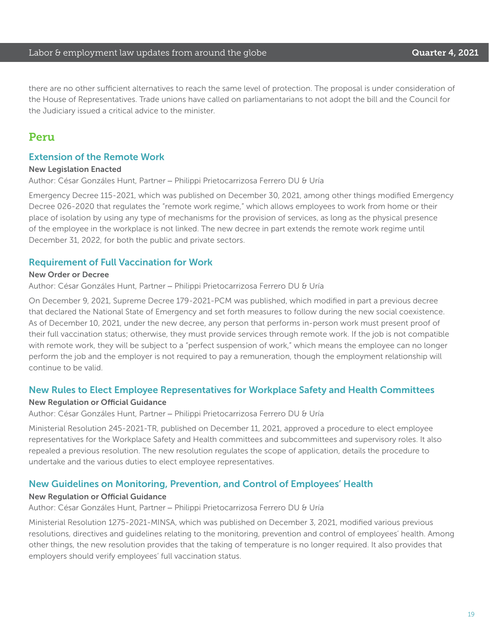#### Labor & employment law updates from around the globe **Cause Countries A. 2021**

there are no other sufficient alternatives to reach the same level of protection. The proposal is under consideration of the House of Representatives. Trade unions have called on parliamentarians to not adopt the bill and the Council for the Judiciary issued a critical advice to the minister.

## Peru

#### Extension of the Remote Work

#### New Legislation Enacted

Author: César Gonzáles Hunt, Partner – Philippi Prietocarrizosa Ferrero DU & Uría

Emergency Decree 115-2021, which was published on December 30, 2021, among other things modified Emergency Decree 026-2020 that regulates the "remote work regime," which allows employees to work from home or their place of isolation by using any type of mechanisms for the provision of services, as long as the physical presence of the employee in the workplace is not linked. The new decree in part extends the remote work regime until December 31, 2022, for both the public and private sectors.

#### Requirement of Full Vaccination for Work

#### New Order or Decree

Author: César Gonzáles Hunt, Partner – Philippi Prietocarrizosa Ferrero DU & Uría

On December 9, 2021, Supreme Decree 179-2021-PCM was published, which modified in part a previous decree that declared the National State of Emergency and set forth measures to follow during the new social coexistence. As of December 10, 2021, under the new decree, any person that performs in-person work must present proof of their full vaccination status; otherwise, they must provide services through remote work. If the job is not compatible with remote work, they will be subject to a "perfect suspension of work," which means the employee can no longer perform the job and the employer is not required to pay a remuneration, though the employment relationship will continue to be valid.

#### New Rules to Elect Employee Representatives for Workplace Safety and Health Committees

#### New Regulation or Official Guidance

Author: César Gonzáles Hunt, Partner – Philippi Prietocarrizosa Ferrero DU & Uría

Ministerial Resolution 245-2021-TR, published on December 11, 2021, approved a procedure to elect employee representatives for the Workplace Safety and Health committees and subcommittees and supervisory roles. It also repealed a previous resolution. The new resolution regulates the scope of application, details the procedure to undertake and the various duties to elect employee representatives.

#### New Guidelines on Monitoring, Prevention, and Control of Employees' Health

#### New Regulation or Official Guidance

Author: César Gonzáles Hunt, Partner – Philippi Prietocarrizosa Ferrero DU & Uría

Ministerial Resolution 1275-2021-MINSA, which was published on December 3, 2021, modified various previous resolutions, directives and guidelines relating to the monitoring, prevention and control of employees' health. Among other things, the new resolution provides that the taking of temperature is no longer required. It also provides that employers should verify employees' full vaccination status.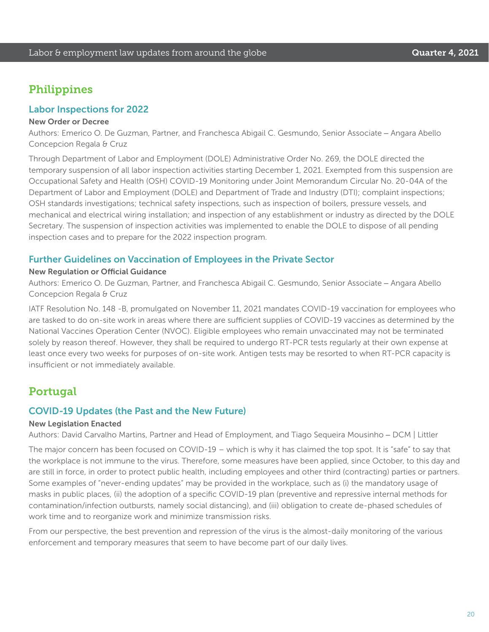## Philippines

#### Labor Inspections for 2022

#### New Order or Decree

Authors: Emerico O. De Guzman, Partner, and Franchesca Abigail C. Gesmundo, Senior Associate – Angara Abello Concepcion Regala & Cruz

Through Department of Labor and Employment (DOLE) Administrative Order No. 269, the DOLE directed the temporary suspension of all labor inspection activities starting December 1, 2021. Exempted from this suspension are Occupational Safety and Health (OSH) COVID-19 Monitoring under Joint Memorandum Circular No. 20-04A of the Department of Labor and Employment (DOLE) and Department of Trade and Industry (DTI); complaint inspections; OSH standards investigations; technical safety inspections, such as inspection of boilers, pressure vessels, and mechanical and electrical wiring installation; and inspection of any establishment or industry as directed by the DOLE Secretary. The suspension of inspection activities was implemented to enable the DOLE to dispose of all pending inspection cases and to prepare for the 2022 inspection program.

#### Further Guidelines on Vaccination of Employees in the Private Sector

#### New Regulation or Official Guidance

Authors: Emerico O. De Guzman, Partner, and Franchesca Abigail C. Gesmundo, Senior Associate – Angara Abello Concepcion Regala & Cruz

IATF Resolution No. 148 -B, promulgated on November 11, 2021 mandates COVID-19 vaccination for employees who are tasked to do on-site work in areas where there are sufficient supplies of COVID-19 vaccines as determined by the National Vaccines Operation Center (NVOC). Eligible employees who remain unvaccinated may not be terminated solely by reason thereof. However, they shall be required to undergo RT-PCR tests regularly at their own expense at least once every two weeks for purposes of on-site work. Antigen tests may be resorted to when RT-PCR capacity is insufficient or not immediately available.

## Portugal

#### COVID-19 Updates (the Past and the New Future)

#### New Legislation Enacted

Authors: David Carvalho Martins, Partner and Head of Employment, and Tiago Sequeira Mousinho – DCM | Littler

The major concern has been focused on COVID-19 – which is why it has claimed the top spot. It is "safe" to say that the workplace is not immune to the virus. Therefore, some measures have been applied, since October, to this day and are still in force, in order to protect public health, including employees and other third (contracting) parties or partners. Some examples of "never-ending updates" may be provided in the workplace, such as (i) the mandatory usage of masks in public places, (ii) the adoption of a specific COVID-19 plan (preventive and repressive internal methods for contamination/infection outbursts, namely social distancing), and (iii) obligation to create de-phased schedules of work time and to reorganize work and minimize transmission risks.

From our perspective, the best prevention and repression of the virus is the almost-daily monitoring of the various enforcement and temporary measures that seem to have become part of our daily lives.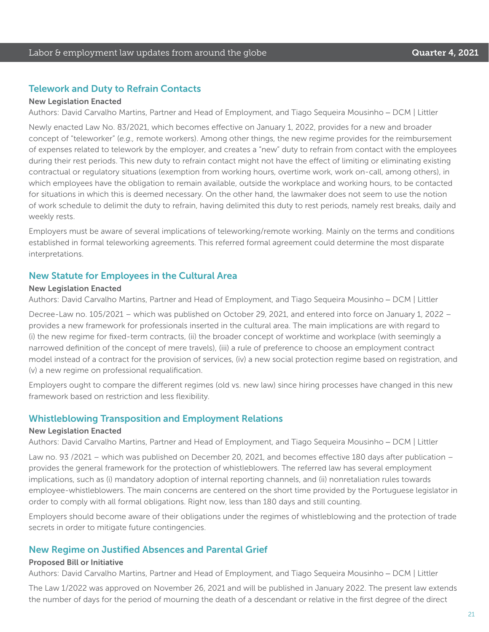#### Telework and Duty to Refrain Contacts

#### New Legislation Enacted

Authors: David Carvalho Martins, Partner and Head of Employment, and Tiago Sequeira Mousinho – DCM | Littler

Newly enacted Law No. 83/2021, which becomes effective on January 1, 2022, provides for a new and broader concept of "teleworker" (*e.g.,* remote workers). Among other things, the new regime provides for the reimbursement of expenses related to telework by the employer, and creates a "new" duty to refrain from contact with the employees during their rest periods. This new duty to refrain contact might not have the effect of limiting or eliminating existing contractual or regulatory situations (exemption from working hours, overtime work, work on-call, among others), in which employees have the obligation to remain available, outside the workplace and working hours, to be contacted for situations in which this is deemed necessary. On the other hand, the lawmaker does not seem to use the notion of work schedule to delimit the duty to refrain, having delimited this duty to rest periods, namely rest breaks, daily and weekly rests.

Employers must be aware of several implications of teleworking/remote working. Mainly on the terms and conditions established in formal teleworking agreements. This referred formal agreement could determine the most disparate interpretations.

#### New Statute for Employees in the Cultural Area

#### New Legislation Enacted

Authors: David Carvalho Martins, Partner and Head of Employment, and Tiago Sequeira Mousinho – DCM | Littler

Decree-Law no. 105/2021 – which was published on October 29, 2021, and entered into force on January 1, 2022 – provides a new framework for professionals inserted in the cultural area. The main implications are with regard to (i) the new regime for fixed-term contracts, (ii) the broader concept of worktime and workplace (with seemingly a narrowed definition of the concept of mere travels), (iii) a rule of preference to choose an employment contract model instead of a contract for the provision of services, (iv) a new social protection regime based on registration, and (v) a new regime on professional requalification.

Employers ought to compare the different regimes (old vs. new law) since hiring processes have changed in this new framework based on restriction and less flexibility.

#### Whistleblowing Transposition and Employment Relations

#### New Legislation Enacted

Authors: David Carvalho Martins, Partner and Head of Employment, and Tiago Sequeira Mousinho – DCM | Littler

Law no. 93 /2021 – which was published on December 20, 2021, and becomes effective 180 days after publication – provides the general framework for the protection of whistleblowers. The referred law has several employment implications, such as (i) mandatory adoption of internal reporting channels, and (ii) nonretaliation rules towards employee-whistleblowers. The main concerns are centered on the short time provided by the Portuguese legislator in order to comply with all formal obligations. Right now, less than 180 days and still counting.

Employers should become aware of their obligations under the regimes of whistleblowing and the protection of trade secrets in order to mitigate future contingencies.

#### New Regime on Justified Absences and Parental Grief

#### Proposed Bill or Initiative

Authors: David Carvalho Martins, Partner and Head of Employment, and Tiago Sequeira Mousinho – DCM | Littler

The Law 1/2022 was approved on November 26, 2021 and will be published in January 2022. The present law extends the number of days for the period of mourning the death of a descendant or relative in the first degree of the direct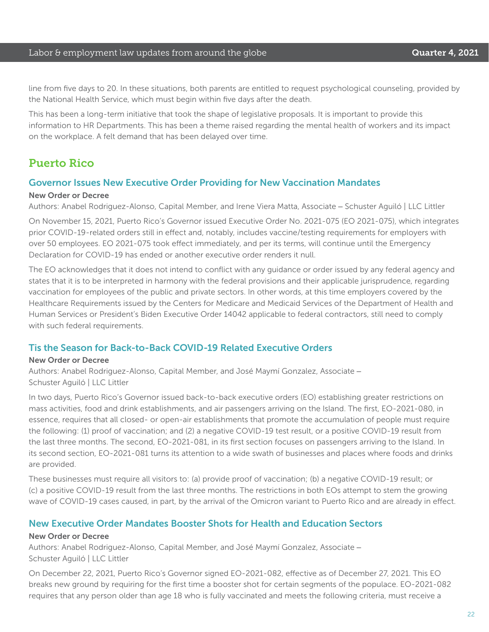#### Labor & employment law updates from around the globe **Cause Countries A. 2021**

line from five days to 20. In these situations, both parents are entitled to request psychological counseling, provided by the National Health Service, which must begin within five days after the death.

This has been a long-term initiative that took the shape of legislative proposals. It is important to provide this information to HR Departments. This has been a theme raised regarding the mental health of workers and its impact on the workplace. A felt demand that has been delayed over time.

## Puerto Rico

#### Governor Issues New Executive Order Providing for New Vaccination Mandates

#### New Order or Decree

Authors: Anabel Rodriguez-Alonso, Capital Member, and Irene Viera Matta, Associate – Schuster Aguiló | LLC Littler

On November 15, 2021, Puerto Rico's Governor issued Executive Order No. 2021-075 (EO 2021-075), which integrates prior COVID-19-related orders still in effect and, notably, includes vaccine/testing requirements for employers with over 50 employees. EO 2021-075 took effect immediately, and per its terms, will continue until the Emergency Declaration for COVID-19 has ended or another executive order renders it null.

The EO acknowledges that it does not intend to conflict with any guidance or order issued by any federal agency and states that it is to be interpreted in harmony with the federal provisions and their applicable jurisprudence, regarding vaccination for employees of the public and private sectors. In other words, at this time employers covered by the Healthcare Requirements issued by the Centers for Medicare and Medicaid Services of the Department of Health and Human Services or President's Biden Executive Order 14042 applicable to federal contractors, still need to comply with such federal requirements.

#### Tis the Season for Back-to-Back COVID-19 Related Executive Orders

#### New Order or Decree

Authors: Anabel Rodriguez-Alonso, Capital Member, and José Maymí Gonzalez, Associate – Schuster Aguiló | LLC Littler

In two days, Puerto Rico's Governor issued back-to-back executive orders (EO) establishing greater restrictions on mass activities, food and drink establishments, and air passengers arriving on the Island. The first, EO-2021-080, in essence, requires that all closed- or open-air establishments that promote the accumulation of people must require the following: (1) proof of vaccination; and (2) a negative COVID-19 test result, or a positive COVID-19 result from the last three months. The second, EO-2021-081, in its first section focuses on passengers arriving to the Island. In its second section, EO-2021-081 turns its attention to a wide swath of businesses and places where foods and drinks are provided.

These businesses must require all visitors to: (a) provide proof of vaccination; (b) a negative COVID-19 result; or (c) a positive COVID-19 result from the last three months. The restrictions in both EOs attempt to stem the growing wave of COVID-19 cases caused, in part, by the arrival of the Omicron variant to Puerto Rico and are already in effect.

#### New Executive Order Mandates Booster Shots for Health and Education Sectors

#### New Order or Decree

Authors: Anabel Rodriguez-Alonso, Capital Member, and José Maymí Gonzalez, Associate – Schuster Aguiló | LLC Littler

On December 22, 2021, Puerto Rico's Governor signed EO-2021-082, effective as of December 27, 2021. This EO breaks new ground by requiring for the first time a booster shot for certain segments of the populace. EO-2021-082 requires that any person older than age 18 who is fully vaccinated and meets the following criteria, must receive a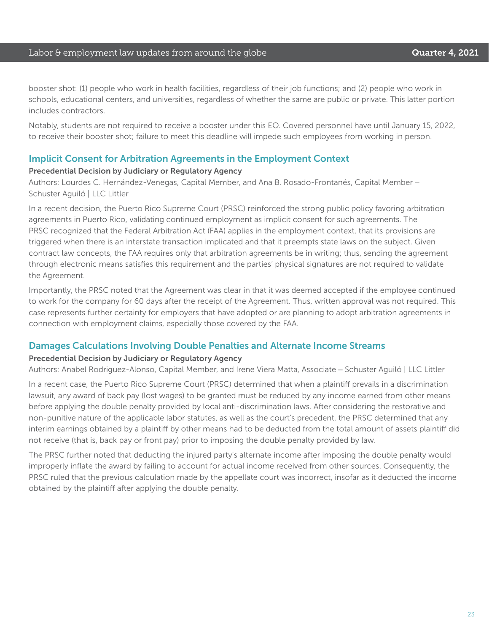#### Labor & employment law updates from around the globe **Cause Countries A. 2021**

booster shot: (1) people who work in health facilities, regardless of their job functions; and (2) people who work in schools, educational centers, and universities, regardless of whether the same are public or private. This latter portion includes contractors.

Notably, students are not required to receive a booster under this EO. Covered personnel have until January 15, 2022, to receive their booster shot; failure to meet this deadline will impede such employees from working in person.

#### Implicit Consent for Arbitration Agreements in the Employment Context

#### Precedential Decision by Judiciary or Regulatory Agency

Authors: Lourdes C. Hernández-Venegas, Capital Member, and Ana B. Rosado-Frontanés, Capital Member – Schuster Aguiló | LLC Littler

In a recent decision, the Puerto Rico Supreme Court (PRSC) reinforced the strong public policy favoring arbitration agreements in Puerto Rico, validating continued employment as implicit consent for such agreements. The PRSC recognized that the Federal Arbitration Act (FAA) applies in the employment context, that its provisions are triggered when there is an interstate transaction implicated and that it preempts state laws on the subject. Given contract law concepts, the FAA requires only that arbitration agreements be in writing; thus, sending the agreement through electronic means satisfies this requirement and the parties' physical signatures are not required to validate the Agreement.

Importantly, the PRSC noted that the Agreement was clear in that it was deemed accepted if the employee continued to work for the company for 60 days after the receipt of the Agreement. Thus, written approval was not required. This case represents further certainty for employers that have adopted or are planning to adopt arbitration agreements in connection with employment claims, especially those covered by the FAA.

#### Damages Calculations Involving Double Penalties and Alternate Income Streams

#### Precedential Decision by Judiciary or Regulatory Agency

Authors: Anabel Rodriguez-Alonso, Capital Member, and Irene Viera Matta, Associate – Schuster Aguiló | LLC Littler

In a recent case, the Puerto Rico Supreme Court (PRSC) determined that when a plaintiff prevails in a discrimination lawsuit, any award of back pay (lost wages) to be granted must be reduced by any income earned from other means before applying the double penalty provided by local anti-discrimination laws. After considering the restorative and non-punitive nature of the applicable labor statutes, as well as the court's precedent, the PRSC determined that any interim earnings obtained by a plaintiff by other means had to be deducted from the total amount of assets plaintiff did not receive (that is, back pay or front pay) prior to imposing the double penalty provided by law.

The PRSC further noted that deducting the injured party's alternate income after imposing the double penalty would improperly inflate the award by failing to account for actual income received from other sources. Consequently, the PRSC ruled that the previous calculation made by the appellate court was incorrect, insofar as it deducted the income obtained by the plaintiff after applying the double penalty.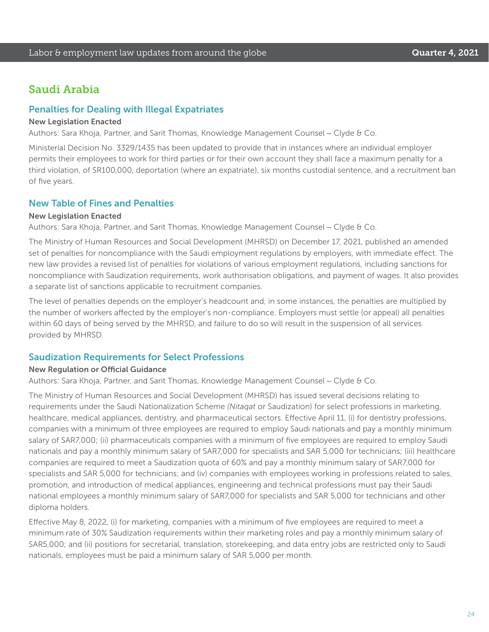## Saudi Arabia

#### Penalties for Dealing with Illegal Expatriates

#### New Legislation Enacted

Authors: Sara Khoja, Partner, and Sarit Thomas, Knowledge Management Counsel – Clyde & Co.

Ministerial Decision No. 3329/1435 has been updated to provide that in instances where an individual employer permits their employees to work for third parties or for their own account they shall face a maximum penalty for a third violation, of SR100,000, deportation (where an expatriate), six months custodial sentence, and a recruitment ban of five years.

#### New Table of Fines and Penalties

#### New Legislation Enacted

Authors: Sara Khoja, Partner, and Sarit Thomas, Knowledge Management Counsel – Clyde & Co.

The Ministry of Human Resources and Social Development (MHRSD) on December 17, 2021, published an amended set of penalties for noncompliance with the Saudi employment regulations by employers, with immediate effect. The new law provides a revised list of penalties for violations of various employment regulations, including sanctions for noncompliance with Saudization requirements, work authorisation obligations, and payment of wages. It also provides a separate list of sanctions applicable to recruitment companies.

The level of penalties depends on the employer's headcount and, in some instances, the penalties are multiplied by the number of workers affected by the employer's non-compliance. Employers must settle (or appeal) all penalties within 60 days of being served by the MHRSD, and failure to do so will result in the suspension of all services provided by MHRSD.

#### Saudization Requirements for Select Professions

#### New Regulation or Official Guidance

Authors: Sara Khoja, Partner, and Sarit Thomas, Knowledge Management Counsel – Clyde & Co.

The Ministry of Human Resources and Social Development (MHRSD) has issued several decisions relating to requirements under the Saudi Nationalization Scheme *(Nitaqat* or Saudization) for select professions in marketing, healthcare, medical appliances, dentistry, and pharmaceutical sectors. Effective April 11, (i) for dentistry professions, companies with a minimum of three employees are required to employ Saudi nationals and pay a monthly minimum salary of SAR7,000; (ii) pharmaceuticals companies with a minimum of five employees are required to employ Saudi nationals and pay a monthly minimum salary of SAR7,000 for specialists and SAR 5,000 for technicians; (iii) healthcare companies are required to meet a Saudization quota of 60% and pay a monthly minimum salary of SAR7,000 for specialists and SAR 5,000 for technicians; and (iv) companies with employees working in professions related to sales, promotion, and introduction of medical appliances, engineering and technical professions must pay their Saudi national employees a monthly minimum salary of SAR7,000 for specialists and SAR 5,000 for technicians and other diploma holders.

Effective May 8, 2022, (i) for marketing, companies with a minimum of five employees are required to meet a minimum rate of 30% Saudization requirements within their marketing roles and pay a monthly minimum salary of SAR5,000; and (ii) positions for secretarial, translation, storekeeping, and data entry jobs are restricted only to Saudi nationals, employees must be paid a minimum salary of SAR 5,000 per month.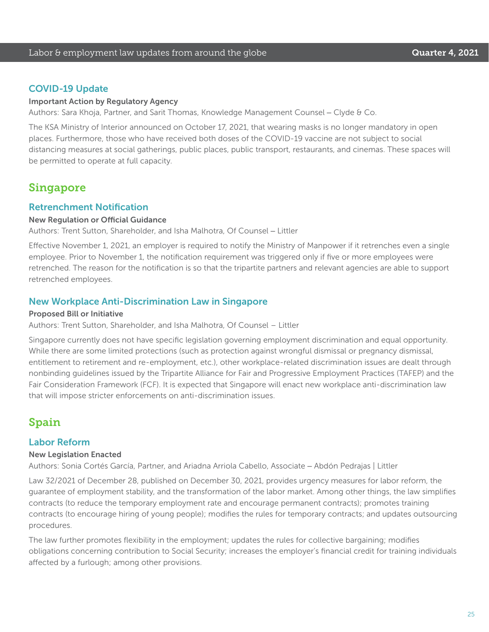#### COVID-19 Update

#### Important Action by Regulatory Agency

Authors: Sara Khoja, Partner, and Sarit Thomas, Knowledge Management Counsel – Clyde & Co.

The KSA Ministry of Interior announced on October 17, 2021, that wearing masks is no longer mandatory in open places. Furthermore, those who have received both doses of the COVID-19 vaccine are not subject to social distancing measures at social gatherings, public places, public transport, restaurants, and cinemas. These spaces will be permitted to operate at full capacity.

## Singapore

#### Retrenchment Notification

#### New Regulation or Official Guidance

Authors: Trent Sutton, Shareholder, and Isha Malhotra, Of Counsel – Littler

Effective November 1, 2021, an employer is required to notify the Ministry of Manpower if it retrenches even a single employee. Prior to November 1, the notification requirement was triggered only if five or more employees were retrenched. The reason for the notification is so that the tripartite partners and relevant agencies are able to support retrenched employees.

#### New Workplace Anti-Discrimination Law in Singapore

#### Proposed Bill or Initiative

Authors: Trent Sutton, Shareholder, and Isha Malhotra, Of Counsel – Littler

Singapore currently does not have specific legislation governing employment discrimination and equal opportunity. While there are some limited protections (such as protection against wrongful dismissal or pregnancy dismissal, entitlement to retirement and re-employment, etc.), other workplace-related discrimination issues are dealt through nonbinding guidelines issued by the Tripartite Alliance for Fair and Progressive Employment Practices (TAFEP) and the Fair Consideration Framework (FCF). It is expected that Singapore will enact new workplace anti-discrimination law that will impose stricter enforcements on anti-discrimination issues.

## Spain

#### Labor Reform

#### New Legislation Enacted

Authors: Sonia Cortés García, Partner, and Ariadna Arriola Cabello, Associate – Abdón Pedrajas | Littler

Law 32/2021 of December 28, published on December 30, 2021, provides urgency measures for labor reform, the guarantee of employment stability, and the transformation of the labor market. Among other things, the law simplifies contracts (to reduce the temporary employment rate and encourage permanent contracts); promotes training contracts (to encourage hiring of young people); modifies the rules for temporary contracts; and updates outsourcing procedures.

The law further promotes flexibility in the employment; updates the rules for collective bargaining; modifies obligations concerning contribution to Social Security; increases the employer's financial credit for training individuals affected by a furlough; among other provisions.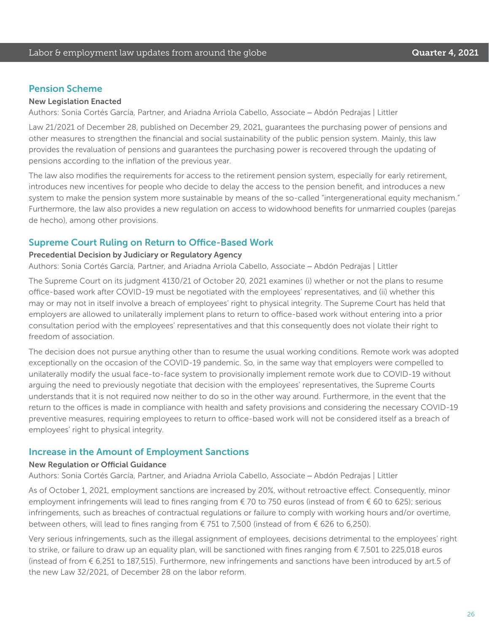#### Pension Scheme

#### New Legislation Enacted

Authors: Sonia Cortés García, Partner, and Ariadna Arriola Cabello, Associate – Abdón Pedrajas | Littler

Law 21/2021 of December 28, published on December 29, 2021, guarantees the purchasing power of pensions and other measures to strengthen the financial and social sustainability of the public pension system. Mainly, this law provides the revaluation of pensions and guarantees the purchasing power is recovered through the updating of pensions according to the inflation of the previous year.

The law also modifies the requirements for access to the retirement pension system, especially for early retirement, introduces new incentives for people who decide to delay the access to the pension benefit, and introduces a new system to make the pension system more sustainable by means of the so-called "intergenerational equity mechanism." Furthermore, the law also provides a new regulation on access to widowhood benefits for unmarried couples (parejas de hecho), among other provisions.

#### Supreme Court Ruling on Return to Office-Based Work

#### Precedential Decision by Judiciary or Regulatory Agency

Authors: Sonia Cortés García, Partner, and Ariadna Arriola Cabello, Associate – Abdón Pedrajas | Littler

The Supreme Court on its judgment 4130/21 of October 20, 2021 examines (i) whether or not the plans to resume office-based work after COVID-19 must be negotiated with the employees' representatives, and (ii) whether this may or may not in itself involve a breach of employees' right to physical integrity. The Supreme Court has held that employers are allowed to unilaterally implement plans to return to office-based work without entering into a prior consultation period with the employees' representatives and that this consequently does not violate their right to freedom of association.

The decision does not pursue anything other than to resume the usual working conditions. Remote work was adopted exceptionally on the occasion of the COVID-19 pandemic. So, in the same way that employers were compelled to unilaterally modify the usual face-to-face system to provisionally implement remote work due to COVID-19 without arguing the need to previously negotiate that decision with the employees' representatives, the Supreme Courts understands that it is not required now neither to do so in the other way around. Furthermore, in the event that the return to the offices is made in compliance with health and safety provisions and considering the necessary COVID-19 preventive measures, requiring employees to return to office-based work will not be considered itself as a breach of employees' right to physical integrity.

#### Increase in the Amount of Employment Sanctions

#### New Regulation or Official Guidance

Authors: Sonia Cortés García, Partner, and Ariadna Arriola Cabello, Associate – Abdón Pedrajas | Littler

As of October 1, 2021, employment sanctions are increased by 20%, without retroactive effect. Consequently, minor employment infringements will lead to fines ranging from  $\epsilon$  70 to 750 euros (instead of from  $\epsilon$  60 to 625); serious infringements, such as breaches of contractual regulations or failure to comply with working hours and/or overtime, between others, will lead to fines ranging from € 751 to 7,500 (instead of from € 626 to 6,250).

Very serious infringements, such as the illegal assignment of employees, decisions detrimental to the employees' right to strike, or failure to draw up an equality plan, will be sanctioned with fines ranging from € 7,501 to 225,018 euros (instead of from € 6,251 to 187,515). Furthermore, new infringements and sanctions have been introduced by art.5 of the new Law 32/2021, of December 28 on the labor reform.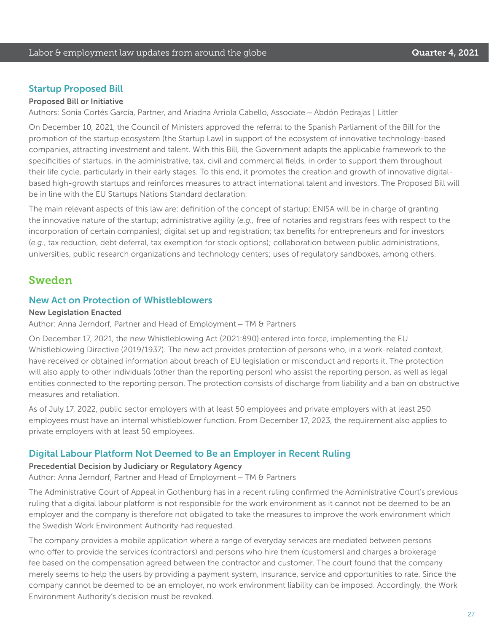#### Startup Proposed Bill

#### Proposed Bill or Initiative

Authors: Sonia Cortés García, Partner, and Ariadna Arriola Cabello, Associate – Abdón Pedrajas | Littler

On December 10, 2021, the Council of Ministers approved the referral to the Spanish Parliament of the Bill for the promotion of the startup ecosystem (the Startup Law) in support of the ecosystem of innovative technology-based companies, attracting investment and talent. With this Bill, the Government adapts the applicable framework to the specificities of startups, in the administrative, tax, civil and commercial fields, in order to support them throughout their life cycle, particularly in their early stages. To this end, it promotes the creation and growth of innovative digitalbased high-growth startups and reinforces measures to attract international talent and investors. The Proposed Bill will be in line with the EU Startups Nations Standard declaration.

The main relevant aspects of this law are: definition of the concept of startup; ENISA will be in charge of granting the innovative nature of the startup; administrative agility (*e.g.,* free of notaries and registrars fees with respect to the incorporation of certain companies); digital set up and registration; tax benefits for entrepreneurs and for investors (*e.g.,* tax reduction, debt deferral, tax exemption for stock options); collaboration between public administrations, universities, public research organizations and technology centers; uses of regulatory sandboxes, among others.

## Sweden

#### New Act on Protection of Whistleblowers

#### New Legislation Enacted

Author: Anna Jerndorf, Partner and Head of Employment – TM & Partners

On December 17, 2021, the new Whistleblowing Act (2021:890) entered into force, implementing the EU Whistleblowing Directive (2019/1937). The new act provides protection of persons who, in a work-related context, have received or obtained information about breach of EU legislation or misconduct and reports it. The protection will also apply to other individuals (other than the reporting person) who assist the reporting person, as well as legal entities connected to the reporting person. The protection consists of discharge from liability and a ban on obstructive measures and retaliation.

As of July 17, 2022, public sector employers with at least 50 employees and private employers with at least 250 employees must have an internal whistleblower function. From December 17, 2023, the requirement also applies to private employers with at least 50 employees.

#### Digital Labour Platform Not Deemed to Be an Employer in Recent Ruling

#### Precedential Decision by Judiciary or Regulatory Agency

Author: Anna Jerndorf, Partner and Head of Employment – TM & Partners

The Administrative Court of Appeal in Gothenburg has in a recent ruling confirmed the Administrative Court's previous ruling that a digital labour platform is not responsible for the work environment as it cannot not be deemed to be an employer and the company is therefore not obligated to take the measures to improve the work environment which the Swedish Work Environment Authority had requested.

The company provides a mobile application where a range of everyday services are mediated between persons who offer to provide the services (contractors) and persons who hire them (customers) and charges a brokerage fee based on the compensation agreed between the contractor and customer. The court found that the company merely seems to help the users by providing a payment system, insurance, service and opportunities to rate. Since the company cannot be deemed to be an employer, no work environment liability can be imposed. Accordingly, the Work Environment Authority's decision must be revoked.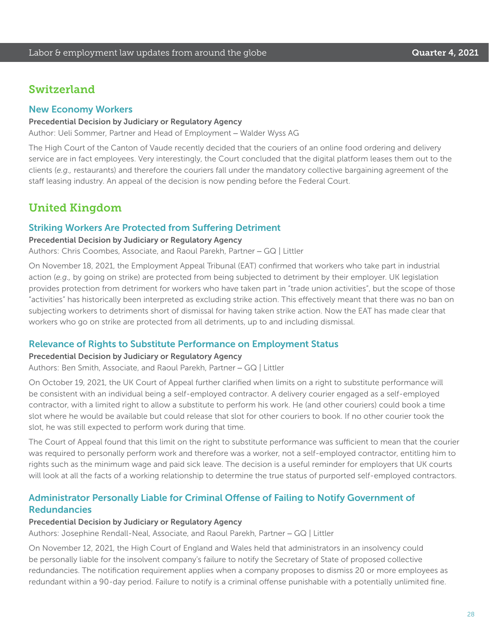## **Switzerland**

#### New Economy Workers

#### Precedential Decision by Judiciary or Regulatory Agency

Author: Ueli Sommer, Partner and Head of Employment – Walder Wyss AG

The High Court of the Canton of Vaude recently decided that the couriers of an online food ordering and delivery service are in fact employees. Very interestingly, the Court concluded that the digital platform leases them out to the clients (*e.g.,* restaurants) and therefore the couriers fall under the mandatory collective bargaining agreement of the staff leasing industry. An appeal of the decision is now pending before the Federal Court.

## United Kingdom

#### Striking Workers Are Protected from Suffering Detriment

#### Precedential Decision by Judiciary or Regulatory Agency

Authors: Chris Coombes, Associate, and Raoul Parekh, Partner – GQ | Littler

On November 18, 2021, the Employment Appeal Tribunal (EAT) confirmed that workers who take part in industrial action (*e.g.,* by going on strike) are protected from being subjected to detriment by their employer. UK legislation provides protection from detriment for workers who have taken part in "trade union activities", but the scope of those "activities" has historically been interpreted as excluding strike action. This effectively meant that there was no ban on subjecting workers to detriments short of dismissal for having taken strike action. Now the EAT has made clear that workers who go on strike are protected from all detriments, up to and including dismissal.

#### Relevance of Rights to Substitute Performance on Employment Status

#### Precedential Decision by Judiciary or Regulatory Agency

Authors: Ben Smith, Associate, and Raoul Parekh, Partner – GQ | Littler

On October 19, 2021, the UK Court of Appeal further clarified when limits on a right to substitute performance will be consistent with an individual being a self-employed contractor. A delivery courier engaged as a self-employed contractor, with a limited right to allow a substitute to perform his work. He (and other couriers) could book a time slot where he would be available but could release that slot for other couriers to book. If no other courier took the slot, he was still expected to perform work during that time.

The Court of Appeal found that this limit on the right to substitute performance was sufficient to mean that the courier was required to personally perform work and therefore was a worker, not a self-employed contractor, entitling him to rights such as the minimum wage and paid sick leave. The decision is a useful reminder for employers that UK courts will look at all the facts of a working relationship to determine the true status of purported self-employed contractors.

#### Administrator Personally Liable for Criminal Offense of Failing to Notify Government of Redundancies

#### Precedential Decision by Judiciary or Regulatory Agency

Authors: Josephine Rendall-Neal, Associate, and Raoul Parekh, Partner – GQ | Littler

On November 12, 2021, the High Court of England and Wales held that administrators in an insolvency could be personally liable for the insolvent company's failure to notify the Secretary of State of proposed collective redundancies. The notification requirement applies when a company proposes to dismiss 20 or more employees as redundant within a 90-day period. Failure to notify is a criminal offense punishable with a potentially unlimited fine.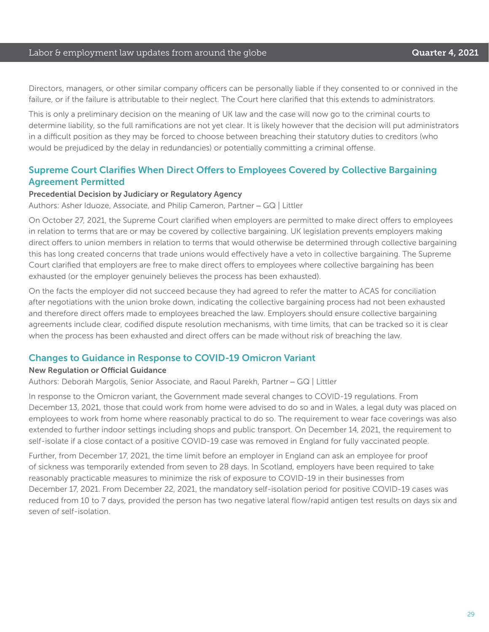#### Labor & employment law updates from around the globe **Cause Communist Coult Constanting Cuarter 4, 2021**

Directors, managers, or other similar company officers can be personally liable if they consented to or connived in the failure, or if the failure is attributable to their neglect. The Court here clarified that this extends to administrators.

This is only a preliminary decision on the meaning of UK law and the case will now go to the criminal courts to determine liability, so the full ramifications are not yet clear. It is likely however that the decision will put administrators in a difficult position as they may be forced to choose between breaching their statutory duties to creditors (who would be prejudiced by the delay in redundancies) or potentially committing a criminal offense.

#### Supreme Court Clarifies When Direct Offers to Employees Covered by Collective Bargaining Agreement Permitted

#### Precedential Decision by Judiciary or Regulatory Agency

Authors: Asher Iduoze, Associate, and Philip Cameron, Partner – GQ | Littler

On October 27, 2021, the Supreme Court clarified when employers are permitted to make direct offers to employees in relation to terms that are or may be covered by collective bargaining. UK legislation prevents employers making direct offers to union members in relation to terms that would otherwise be determined through collective bargaining this has long created concerns that trade unions would effectively have a veto in collective bargaining. The Supreme Court clarified that employers are free to make direct offers to employees where collective bargaining has been exhausted (or the employer genuinely believes the process has been exhausted).

On the facts the employer did not succeed because they had agreed to refer the matter to ACAS for conciliation after negotiations with the union broke down, indicating the collective bargaining process had not been exhausted and therefore direct offers made to employees breached the law. Employers should ensure collective bargaining agreements include clear, codified dispute resolution mechanisms, with time limits, that can be tracked so it is clear when the process has been exhausted and direct offers can be made without risk of breaching the law.

#### Changes to Guidance in Response to COVID-19 Omicron Variant

#### New Regulation or Official Guidance

Authors: Deborah Margolis, Senior Associate, and Raoul Parekh, Partner – GQ | Littler

In response to the Omicron variant, the Government made several changes to COVID-19 regulations. From December 13, 2021, those that could work from home were advised to do so and in Wales, a legal duty was placed on employees to work from home where reasonably practical to do so. The requirement to wear face coverings was also extended to further indoor settings including shops and public transport. On December 14, 2021, the requirement to self-isolate if a close contact of a positive COVID-19 case was removed in England for fully vaccinated people.

Further, from December 17, 2021, the time limit before an employer in England can ask an employee for proof of sickness was temporarily extended from seven to 28 days. In Scotland, employers have been required to take reasonably practicable measures to minimize the risk of exposure to COVID-19 in their businesses from December 17, 2021. From December 22, 2021, the mandatory self-isolation period for positive COVID-19 cases was reduced from 10 to 7 days, provided the person has two negative lateral flow/rapid antigen test results on days six and seven of self-isolation.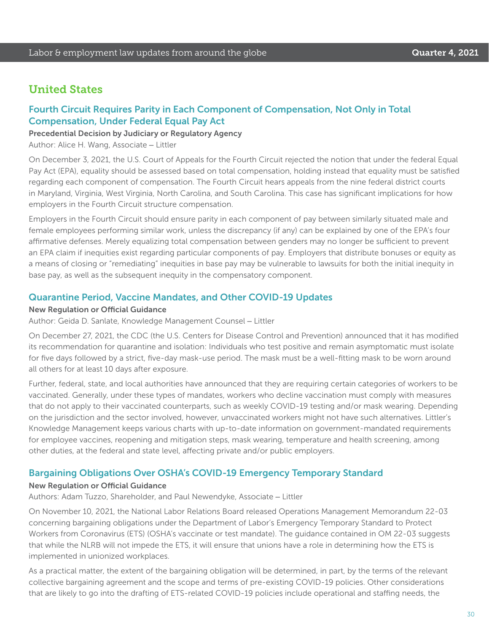## United States

## Fourth Circuit Requires Parity in Each Component of Compensation, Not Only in Total Compensation, Under Federal Equal Pay Act

#### Precedential Decision by Judiciary or Regulatory Agency

Author: Alice H. Wang, Associate – Littler

On December 3, 2021, the U.S. Court of Appeals for the Fourth Circuit rejected the notion that under the federal Equal Pay Act (EPA), equality should be assessed based on total compensation, holding instead that equality must be satisfied regarding each component of compensation. The Fourth Circuit hears appeals from the nine federal district courts in Maryland, Virginia, West Virginia, North Carolina, and South Carolina. This case has significant implications for how employers in the Fourth Circuit structure compensation.

Employers in the Fourth Circuit should ensure parity in each component of pay between similarly situated male and female employees performing similar work, unless the discrepancy (if any) can be explained by one of the EPA's four affirmative defenses. Merely equalizing total compensation between genders may no longer be sufficient to prevent an EPA claim if inequities exist regarding particular components of pay. Employers that distribute bonuses or equity as a means of closing or "remediating" inequities in base pay may be vulnerable to lawsuits for both the initial inequity in base pay, as well as the subsequent inequity in the compensatory component.

#### Quarantine Period, Vaccine Mandates, and Other COVID-19 Updates

#### New Regulation or Official Guidance

Author: Geida D. Sanlate, Knowledge Management Counsel – Littler

On December 27, 2021, the CDC (the U.S. Centers for Disease Control and Prevention) announced that it has modified its recommendation for quarantine and isolation: Individuals who test positive and remain asymptomatic must isolate for five days followed by a strict, five-day mask-use period. The mask must be a well-fitting mask to be worn around all others for at least 10 days after exposure.

Further, federal, state, and local authorities have announced that they are requiring certain categories of workers to be vaccinated. Generally, under these types of mandates, workers who decline vaccination must comply with measures that do not apply to their vaccinated counterparts, such as weekly COVID-19 testing and/or mask wearing. Depending on the jurisdiction and the sector involved, however, unvaccinated workers might not have such alternatives. Littler's Knowledge Management keeps various charts with up-to-date information on government-mandated requirements for employee vaccines, reopening and mitigation steps, mask wearing, temperature and health screening, among other duties, at the federal and state level, affecting private and/or public employers.

#### Bargaining Obligations Over OSHA's COVID-19 Emergency Temporary Standard

#### New Regulation or Official Guidance

Authors: Adam Tuzzo, Shareholder, and Paul Newendyke, Associate – Littler

On November 10, 2021, the National Labor Relations Board released Operations Management Memorandum 22-03 concerning bargaining obligations under the Department of Labor's Emergency Temporary Standard to Protect Workers from Coronavirus (ETS) (OSHA's vaccinate or test mandate). The guidance contained in OM 22-03 suggests that while the NLRB will not impede the ETS, it will ensure that unions have a role in determining how the ETS is implemented in unionized workplaces.

As a practical matter, the extent of the bargaining obligation will be determined, in part, by the terms of the relevant collective bargaining agreement and the scope and terms of pre-existing COVID-19 policies. Other considerations that are likely to go into the drafting of ETS-related COVID-19 policies include operational and staffing needs, the